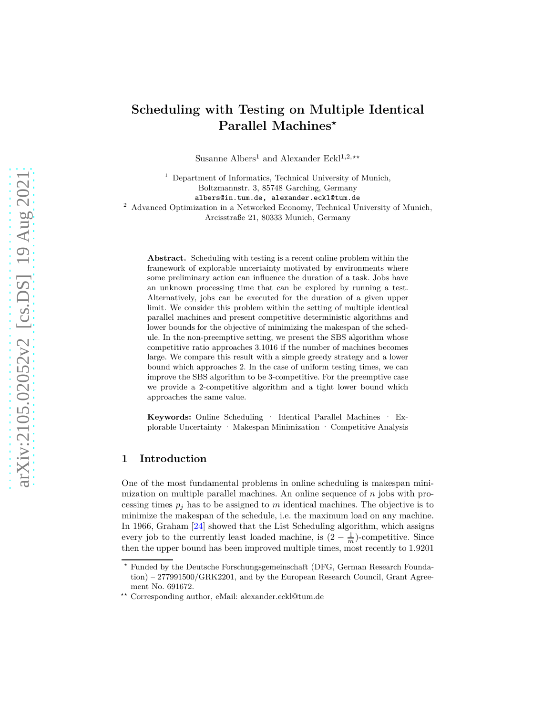# **Scheduling with Testing on Multiple Identical Parallel Machines***<sup>⋆</sup>*

Susanne Albers<sup>1</sup> and Alexander Eckl<sup>1,2,\*\*</sup>

<sup>1</sup> Department of Informatics, Technical University of Munich, Boltzmannstr. 3, 85748 Garching, Germany albers@in.tum.de, alexander.eckl@tum.de <sup>2</sup> Advanced Optimization in a Networked Economy, Technical University of Munich, Arcisstraße 21, 80333 Munich, Germany

**Abstract.** Scheduling with testing is a recent online problem within the framework of explorable uncertainty motivated by environments where some preliminary action can influence the duration of a task. Jobs have an unknown processing time that can be explored by running a test. Alternatively, jobs can be executed for the duration of a given upper limit. We consider this problem within the setting of multiple identical parallel machines and present competitive deterministic algorithms and lower bounds for the objective of minimizing the makespan of the schedule. In the non-preemptive setting, we present the SBS algorithm whose competitive ratio approaches 3*.*1016 if the number of machines becomes large. We compare this result with a simple greedy strategy and a lower bound which approaches 2. In the case of uniform testing times, we can improve the SBS algorithm to be 3-competitive. For the preemptive case we provide a 2-competitive algorithm and a tight lower bound which approaches the same value.

**Keywords:** Online Scheduling · Identical Parallel Machines · Explorable Uncertainty · Makespan Minimization · Competitive Analysis

## **1 Introduction**

One of the most fundamental problems in online scheduling is makespan minimization on multiple parallel machines. An online sequence of *n* jobs with processing times  $p_j$  has to be assigned to  $m$  identical machines. The objective is to minimize the makespan of the schedule, i.e. the maximum load on any machine. In 1966, Graham [\[24\]](#page-13-0) showed that the List Scheduling algorithm, which assigns every job to the currently least loaded machine, is  $(2 - \frac{1}{m})$ -competitive. Since then the upper bound has been improved multiple times, most recently to 1*.*9201

*<sup>⋆</sup>* Funded by the Deutsche Forschungsgemeinschaft (DFG, German Research Foundation) – 277991500/GRK2201, and by the European Research Council, Grant Agreement No. 691672.

*<sup>⋆⋆</sup>* Corresponding author, eMail: alexander.eckl@tum.de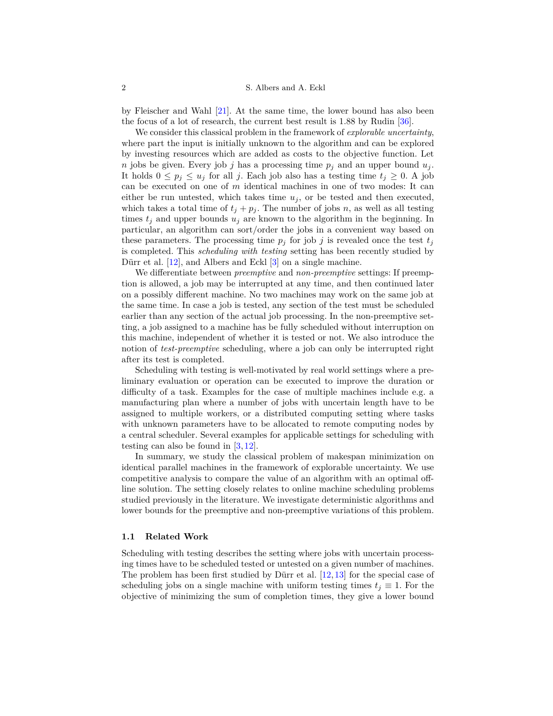by Fleischer and Wahl [\[21\]](#page-13-1). At the same time, the lower bound has also been the focus of a lot of research, the current best result is 1*.*88 by Rudin [\[36\]](#page-14-0).

We consider this classical problem in the framework of *explorable uncertainty*, where part the input is initially unknown to the algorithm and can be explored by investing resources which are added as costs to the objective function. Let *n* jobs be given. Every job *j* has a processing time  $p_j$  and an upper bound  $u_j$ . It holds  $0 \leq p_j \leq u_j$  for all *j*. Each job also has a testing time  $t_j \geq 0$ . A job can be executed on one of *m* identical machines in one of two modes: It can either be run untested, which takes time  $u_j$ , or be tested and then executed, which takes a total time of  $t_j + p_j$ . The number of jobs *n*, as well as all testing times  $t_j$  and upper bounds  $u_j$  are known to the algorithm in the beginning. In particular, an algorithm can sort/order the jobs in a convenient way based on these parameters. The processing time  $p_j$  for job *j* is revealed once the test  $t_j$ is completed. This *scheduling with testing* setting has been recently studied by Dürr et al. [\[12\]](#page-12-0), and Albers and Eckl [\[3\]](#page-12-1) on a single machine.

We differentiate between *preemptive* and *non-preemptive* settings: If preemption is allowed, a job may be interrupted at any time, and then continued later on a possibly different machine. No two machines may work on the same job at the same time. In case a job is tested, any section of the test must be scheduled earlier than any section of the actual job processing. In the non-preemptive setting, a job assigned to a machine has be fully scheduled without interruption on this machine, independent of whether it is tested or not. We also introduce the notion of *test-preemptive* scheduling, where a job can only be interrupted right after its test is completed.

Scheduling with testing is well-motivated by real world settings where a preliminary evaluation or operation can be executed to improve the duration or difficulty of a task. Examples for the case of multiple machines include e.g. a manufacturing plan where a number of jobs with uncertain length have to be assigned to multiple workers, or a distributed computing setting where tasks with unknown parameters have to be allocated to remote computing nodes by a central scheduler. Several examples for applicable settings for scheduling with testing can also be found in [\[3,](#page-12-1) [12\]](#page-12-0).

In summary, we study the classical problem of makespan minimization on identical parallel machines in the framework of explorable uncertainty. We use competitive analysis to compare the value of an algorithm with an optimal offline solution. The setting closely relates to online machine scheduling problems studied previously in the literature. We investigate deterministic algorithms and lower bounds for the preemptive and non-preemptive variations of this problem.

## **1.1 Related Work**

Scheduling with testing describes the setting where jobs with uncertain processing times have to be scheduled tested or untested on a given number of machines. The problem has been first studied by Dürr et al. [\[12,](#page-12-0)[13\]](#page-12-2) for the special case of scheduling jobs on a single machine with uniform testing times  $t_j \equiv 1$ . For the objective of minimizing the sum of completion times, they give a lower bound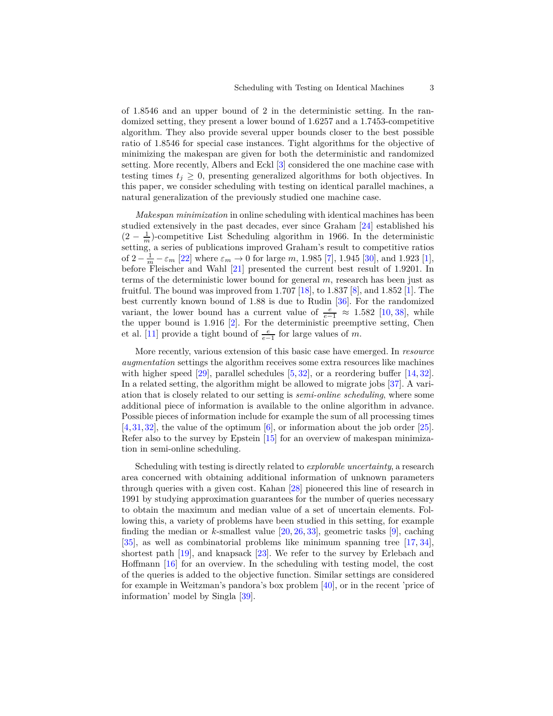of 1.8546 and an upper bound of 2 in the deterministic setting. In the randomized setting, they present a lower bound of 1.6257 and a 1.7453-competitive algorithm. They also provide several upper bounds closer to the best possible ratio of 1.8546 for special case instances. Tight algorithms for the objective of minimizing the makespan are given for both the deterministic and randomized setting. More recently, Albers and Eckl [\[3\]](#page-12-1) considered the one machine case with testing times  $t_j \geq 0$ , presenting generalized algorithms for both objectives. In this paper, we consider scheduling with testing on identical parallel machines, a natural generalization of the previously studied one machine case.

*Makespan minimization* in online scheduling with identical machines has been studied extensively in the past decades, ever since Graham [\[24\]](#page-13-0) established his  $(2 - \frac{1}{m})$ -competitive List Scheduling algorithm in 1966. In the deterministic setting, a series of publications improved Graham's result to competitive ratios of  $2 - \frac{1}{m} - \varepsilon_m$  [\[22\]](#page-13-2) where  $\varepsilon_m \to 0$  for large *m*, 1.985 [\[7\]](#page-12-3), 1.945 [\[30\]](#page-13-3), and 1.923 [\[1\]](#page-11-0), before Fleischer and Wahl [\[21\]](#page-13-1) presented the current best result of 1*.*9201. In terms of the deterministic lower bound for general *m*, research has been just as fruitful. The bound was improved from 1*.*707 [\[18\]](#page-12-4), to 1*.*837 [\[8\]](#page-12-5), and 1*.*852 [\[1\]](#page-11-0). The best currently known bound of 1*.*88 is due to Rudin [\[36\]](#page-14-0). For the randomized variant, the lower bound has a current value of  $\frac{e}{e-1} \approx 1.582$  [\[10,](#page-12-6) [38\]](#page-14-1), while the upper bound is 1*.*916 [\[2\]](#page-11-1). For the deterministic preemptive setting, Chen et al. [\[11\]](#page-12-7) provide a tight bound of  $\frac{e}{e-1}$  for large values of *m*.

More recently, various extension of this basic case have emerged. In *resource augmentation* settings the algorithm receives some extra resources like machines with higher speed  $[29]$ , parallel schedules  $[5, 32]$  $[5, 32]$ , or a reordering buffer  $[14, 32]$ . In a related setting, the algorithm might be allowed to migrate jobs [\[37\]](#page-14-2). A variation that is closely related to our setting is *semi-online scheduling*, where some additional piece of information is available to the online algorithm in advance. Possible pieces of information include for example the sum of all processing times  $[4,31,32]$  $[4,31,32]$  $[4,31,32]$ , the value of the optimum  $[6]$ , or information about the job order  $[25]$ . Refer also to the survey by Epstein [\[15\]](#page-12-12) for an overview of makespan minimization in semi-online scheduling.

Scheduling with testing is directly related to *explorable uncertainty*, a research area concerned with obtaining additional information of unknown parameters through queries with a given cost. Kahan [\[28\]](#page-13-8) pioneered this line of research in 1991 by studying approximation guarantees for the number of queries necessary to obtain the maximum and median value of a set of uncertain elements. Following this, a variety of problems have been studied in this setting, for example finding the median or  $k$ -smallest value  $[20, 26, 33]$  $[20, 26, 33]$  $[20, 26, 33]$  $[20, 26, 33]$ , geometric tasks  $[9]$ , caching [\[35\]](#page-14-3), as well as combinatorial problems like minimum spanning tree [\[17,](#page-12-14) [34\]](#page-13-12), shortest path [\[19\]](#page-13-13), and knapsack [\[23\]](#page-13-14). We refer to the survey by Erlebach and Hoffmann [\[16\]](#page-12-15) for an overview. In the scheduling with testing model, the cost of the queries is added to the objective function. Similar settings are considered for example in Weitzman's pandora's box problem [\[40\]](#page-14-4), or in the recent 'price of information' model by Singla [\[39\]](#page-14-5).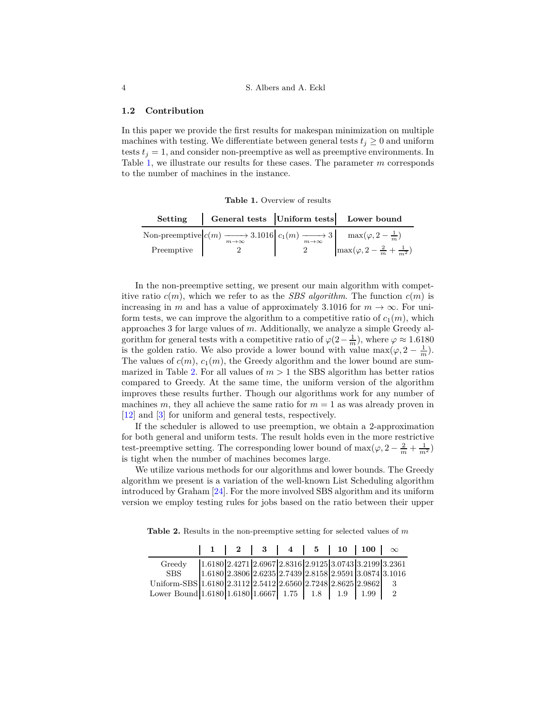### **1.2 Contribution**

In this paper we provide the first results for makespan minimization on multiple machines with testing. We differentiate between general tests  $t_j \geq 0$  and uniform tests  $t_i = 1$ , and consider non-preemptive as well as preemptive environments. In Table [1,](#page-3-0) we illustrate our results for these cases. The parameter *m* corresponds to the number of machines in the instance.

<span id="page-3-0"></span>**Table 1.** Overview of results

| Setting    | General tests Uniform tests Lower bound                                                                                                             |                                              |
|------------|-----------------------------------------------------------------------------------------------------------------------------------------------------|----------------------------------------------|
|            | Non-preemptive $\left  c(m) \xrightarrow[m \to \infty]{} 3.1016 \right  c_1(m) \xrightarrow[m \to \infty]{} 3 \quad \max(\varphi, 2 - \frac{1}{m})$ |                                              |
| Preemptive |                                                                                                                                                     | $\max(\varphi, 2-\frac{2}{m}+\frac{1}{m^2})$ |

In the non-preemptive setting, we present our main algorithm with competitive ratio  $c(m)$ , which we refer to as the *SBS algorithm*. The function  $c(m)$  is increasing in *m* and has a value of approximately 3.1016 for  $m \to \infty$ . For uniform tests, we can improve the algorithm to a competitive ratio of  $c_1(m)$ , which approaches 3 for large values of *m*. Additionally, we analyze a simple Greedy algorithm for general tests with a competitive ratio of  $\varphi(2-\frac{1}{m})$ , where  $\varphi \approx 1.6180$ is the golden ratio. We also provide a lower bound with value  $\max(\varphi, 2 - \frac{1}{m})$ . The values of  $c(m)$ ,  $c_1(m)$ , the Greedy algorithm and the lower bound are sum-marized in Table [2.](#page-3-1) For all values of  $m > 1$  the SBS algorithm has better ratios compared to Greedy. At the same time, the uniform version of the algorithm improves these results further. Though our algorithms work for any number of machines *m*, they all achieve the same ratio for  $m = 1$  as was already proven in [\[12\]](#page-12-0) and [\[3\]](#page-12-1) for uniform and general tests, respectively.

If the scheduler is allowed to use preemption, we obtain a 2-approximation for both general and uniform tests. The result holds even in the more restrictive test-preemptive setting. The corresponding lower bound of  $\max(\varphi, 2 - \frac{2}{m} + \frac{1}{m^2})$ is tight when the number of machines becomes large.

We utilize various methods for our algorithms and lower bounds. The Greedy algorithm we present is a variation of the well-known List Scheduling algorithm introduced by Graham [\[24\]](#page-13-0). For the more involved SBS algorithm and its uniform version we employ testing rules for jobs based on the ratio between their upper

**Table 2.** Results in the non-preemptive setting for selected values of *m*

<span id="page-3-1"></span>

|                                                                    |  |  |  | $1 \mid 2 \mid 3 \mid 4 \mid 5 \mid 10 \mid 100 \mid \infty$     |  |  |
|--------------------------------------------------------------------|--|--|--|------------------------------------------------------------------|--|--|
| Greedy                                                             |  |  |  | 1.6180 2.4271 2.6967 2.8316 2.9125 3.0743 3.2199 3.2361          |  |  |
| SBS -                                                              |  |  |  | $1.6180\,2.3806\,2.6235\,2.7439\,2.8158\,2.9591\,3.0874\,3.1016$ |  |  |
| Uniform-SBS 1.6180 2.3112 2.5412 2.6560 2.7248 2.8625 2.9862 3     |  |  |  |                                                                  |  |  |
| Lower Bound 1.6180   1.6180   1.6667   1.75   1.8   1.9   1.99   2 |  |  |  |                                                                  |  |  |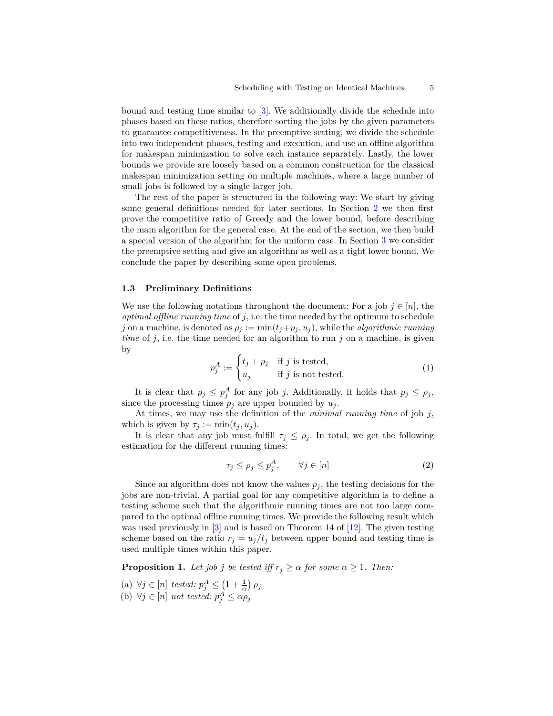bound and testing time similar to [\[3\]](#page-12-1). We additionally divide the schedule into phases based on these ratios, therefore sorting the jobs by the given parameters to guarantee competitiveness. In the preemptive setting, we divide the schedule into two independent phases, testing and execution, and use an offline algorithm for makespan minimization to solve each instance separately. Lastly, the lower bounds we provide are loosely based on a common construction for the classical makespan minimization setting on multiple machines, where a large number of small jobs is followed by a single larger job.

The rest of the paper is structured in the following way: We start by giving some general definitions needed for later sections. In Section [2](#page-5-0) we then first prove the competitive ratio of Greedy and the lower bound, before describing the main algorithm for the general case. At the end of the section, we then build a special version of the algorithm for the uniform case. In Section [3](#page-9-0) we consider the preemptive setting and give an algorithm as well as a tight lower bound. We conclude the paper by describing some open problems.

## **1.3 Preliminary Definitions**

We use the following notations throughout the document: For a job  $j \in [n]$ , the *optimal offline running time* of *j*, i.e. the time needed by the optimum to schedule  $j$  on a machine, is denoted as  $\rho_j := \min(t_j + p_j, u_j)$ , while the *algorithmic running time* of *j*, i.e. the time needed for an algorithm to run *j* on a machine, is given by

$$
p_j^A := \begin{cases} t_j + p_j & \text{if } j \text{ is tested,} \\ u_j & \text{if } j \text{ is not tested.} \end{cases}
$$
 (1)

It is clear that  $\rho_j \leq p_j^A$  for any job *j*. Additionally, it holds that  $p_j \leq \rho_j$ , since the processing times  $p_j$  are upper bounded by  $u_j$ .

At times, we may use the definition of the *minimal running time* of job *j*, which is given by  $\tau_j := \min(t_j, u_j)$ .

It is clear that any job must fulfill  $\tau_j \leq \rho_j$ . In total, we get the following estimation for the different running times:

<span id="page-4-1"></span>
$$
\tau_j \le \rho_j \le p_j^A, \qquad \forall j \in [n] \tag{2}
$$

Since an algorithm does not know the values  $p_j$ , the testing decisions for the jobs are non-trivial. A partial goal for any competitive algorithm is to define a testing scheme such that the algorithmic running times are not too large compared to the optimal offline running times. We provide the following result which was used previously in [\[3\]](#page-12-1) and is based on Theorem 14 of [\[12\]](#page-12-0). The given testing scheme based on the ratio  $r_i = u_j/t_j$  between upper bound and testing time is used multiple times within this paper.

<span id="page-4-0"></span>**Proposition 1.** *Let job j be tested iff*  $r_j \geq \alpha$  *for some*  $\alpha \geq 1$ *. Then:* 

- (a)  $\forall j \in [n] \text{ tested: } p_j^A \leq (1 + \frac{1}{\alpha}) \rho_j$
- (b)  $\forall j \in [n]$  *not tested:*  $p_j^A \le \alpha \rho_j$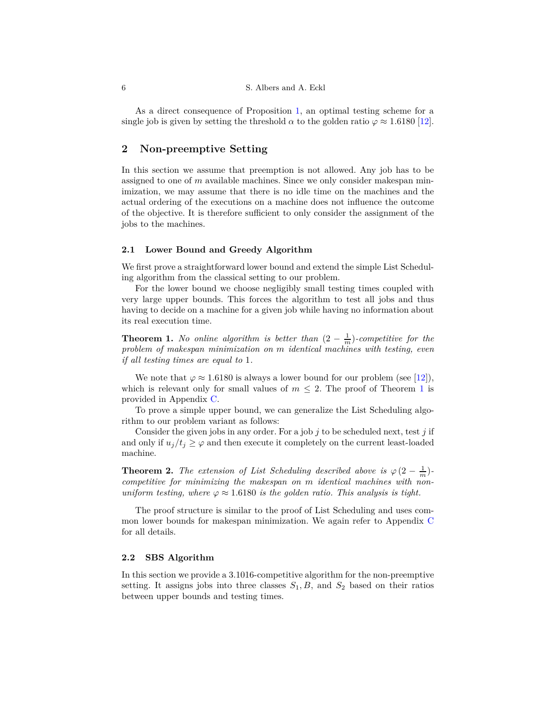As a direct consequence of Proposition [1,](#page-4-0) an optimal testing scheme for a single job is given by setting the threshold  $\alpha$  to the golden ratio  $\varphi \approx 1.6180$  [\[12\]](#page-12-0).

## <span id="page-5-0"></span>**2 Non-preemptive Setting**

In this section we assume that preemption is not allowed. Any job has to be assigned to one of *m* available machines. Since we only consider makespan minimization, we may assume that there is no idle time on the machines and the actual ordering of the executions on a machine does not influence the outcome of the objective. It is therefore sufficient to only consider the assignment of the jobs to the machines.

#### **2.1 Lower Bound and Greedy Algorithm**

We first prove a straightforward lower bound and extend the simple List Scheduling algorithm from the classical setting to our problem.

For the lower bound we choose negligibly small testing times coupled with very large upper bounds. This forces the algorithm to test all jobs and thus having to decide on a machine for a given job while having no information about its real execution time.

<span id="page-5-1"></span>**Theorem 1.** *No online algorithm is better than*  $(2 - \frac{1}{m})$ *-competitive for the problem of makespan minimization on m identical machines with testing, even if all testing times are equal to* 1*.*

We note that  $\varphi \approx 1.6180$  is always a lower bound for our problem (see [\[12\]](#page-12-0)), which is relevant only for small values of  $m \leq 2$ . The proof of Theorem [1](#page-5-1) is provided in Appendix [C.](#page-18-0)

To prove a simple upper bound, we can generalize the List Scheduling algorithm to our problem variant as follows:

Consider the given jobs in any order. For a job *j* to be scheduled next, test *j* if and only if  $u_j/t_j \geq \varphi$  and then execute it completely on the current least-loaded machine.

<span id="page-5-3"></span>**Theorem 2.** *The extension of List Scheduling described above is*  $\varphi(2-\frac{1}{m})$ *competitive for minimizing the makespan on m identical machines with nonuniform testing, where*  $\varphi \approx 1.6180$  *is the golden ratio. This analysis is tight.* 

The proof structure is similar to the proof of List Scheduling and uses common lower bounds for makespan minimization. We again refer to Appendix [C](#page-18-0) for all details.

#### <span id="page-5-2"></span>**2.2 SBS Algorithm**

In this section we provide a 3*.*1016-competitive algorithm for the non-preemptive setting. It assigns jobs into three classes  $S_1, B$ , and  $S_2$  based on their ratios between upper bounds and testing times.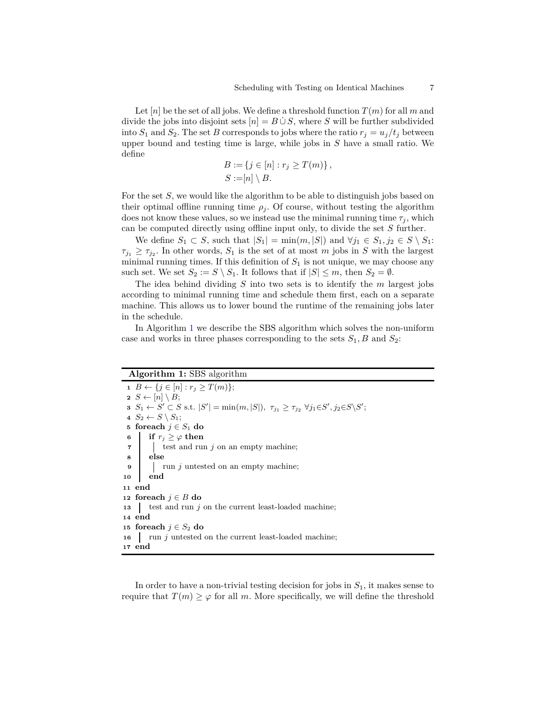Let  $[n]$  be the set of all jobs. We define a threshold function  $T(m)$  for all m and divide the jobs into disjoint sets  $[n] = B \cup S$ , where *S* will be further subdivided into  $S_1$  and  $S_2$ . The set *B* corresponds to jobs where the ratio  $r_j = u_j/t_j$  between upper bound and testing time is large, while jobs in *S* have a small ratio. We define

$$
B := \{ j \in [n] : r_j \ge T(m) \},
$$
  

$$
S := [n] \setminus B.
$$

For the set *S*, we would like the algorithm to be able to distinguish jobs based on their optimal offline running time  $\rho_i$ . Of course, without testing the algorithm does not know these values, so we instead use the minimal running time  $\tau_i$ , which can be computed directly using offline input only, to divide the set *S* further.

We define  $S_1 \subset S$ , such that  $|S_1| = \min(m, |S|)$  and  $\forall j_1 \in S_1, j_2 \in S \setminus S_1$ :  $\tau_{j_1} \geq \tau_{j_2}$ . In other words,  $S_1$  is the set of at most *m* jobs in *S* with the largest minimal running times. If this definition of  $S_1$  is not unique, we may choose any such set. We set  $S_2 := S \setminus S_1$ . It follows that if  $|S| \leq m$ , then  $S_2 = \emptyset$ .

The idea behind dividing *S* into two sets is to identify the *m* largest jobs according to minimal running time and schedule them first, each on a separate machine. This allows us to lower bound the runtime of the remaining jobs later in the schedule.

In Algorithm [1](#page-6-0) we describe the SBS algorithm which solves the non-uniform case and works in three phases corresponding to the sets  $S_1$ ,  $B$  and  $S_2$ :

## **Algorithm 1:** SBS algorithm

 *B* ← { $j \in [n]$  :  $r_j \geq T(m)$ };  $S \leftarrow [n] \setminus B;$   $S_1 \leftarrow S' \subset S$  s.t.  $|S'| = \min(m, |S|), \tau_{j_1} \ge \tau_{j_2} \ \forall j_1 \in S', j_2 \in S \backslash S';$ *S*<sub>2</sub> ← *S*  $\setminus$  *S*<sub>1</sub>; **foreach**  $j \in S_1$  **do if**  $r_i \geq \varphi$  **then**  test and run *j* on an empty machine; **<sup>8</sup> else |** run *j* untested on an empty machine; **<sup>10</sup> end <sup>11</sup> end foreach** *j* ∈ *B* **do** test and run *j* on the current least-loaded machine; **<sup>14</sup> end foreach**  $j \in S_2$  **do l** run *j* untested on the current least-loaded machine; **<sup>17</sup> end**

<span id="page-6-0"></span>In order to have a non-trivial testing decision for jobs in *S*1, it makes sense to require that  $T(m) \geq \varphi$  for all *m*. More specifically, we will define the threshold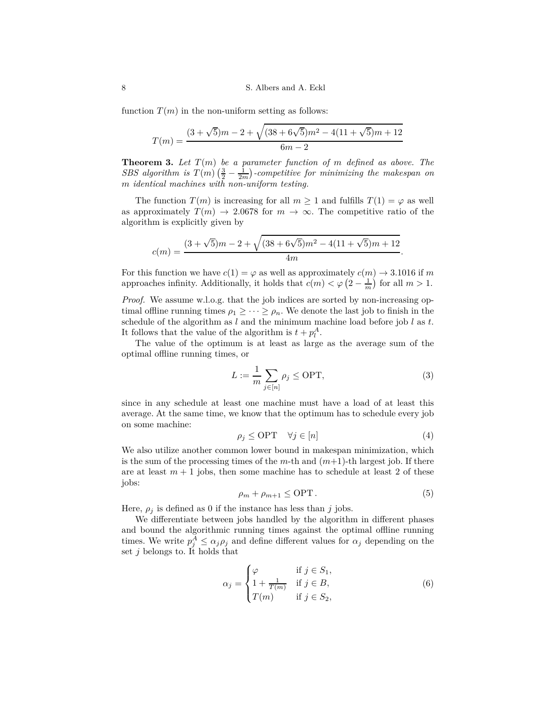function  $T(m)$  in the non-uniform setting as follows:

$$
T(m) = \frac{(3+\sqrt{5})m - 2 + \sqrt{(38+6\sqrt{5})m^2 - 4(11+\sqrt{5})m + 12}}{6m - 2}
$$

<span id="page-7-4"></span>**Theorem 3.** *Let T* (*m*) *be a parameter function of m defined as above. The SBS* algorithm is  $T(m)$   $(\frac{3}{2} - \frac{1}{2m})$ -competitive for minimizing the makespan on *m identical machines with non-uniform testing.*

The function  $T(m)$  is increasing for all  $m \geq 1$  and fulfills  $T(1) = \varphi$  as well as approximately  $T(m) \rightarrow 2.0678$  for  $m \rightarrow \infty$ . The competitive ratio of the algorithm is explicitly given by

$$
c(m) = \frac{(3+\sqrt{5})m - 2 + \sqrt{(38+6\sqrt{5})m^2 - 4(11+\sqrt{5})m + 12}}{4m}.
$$

For this function we have  $c(1) = \varphi$  as well as approximately  $c(m) \to 3.1016$  if *m* approaches infinity. Additionally, it holds that  $c(m) < \varphi(2 - \frac{1}{m})$  for all  $m > 1$ .

*Proof.* We assume w.l.o.g. that the job indices are sorted by non-increasing optimal offline running times  $\rho_1 \geq \cdots \geq \rho_n$ . We denote the last job to finish in the schedule of the algorithm as *l* and the minimum machine load before job *l* as *t*. It follows that the value of the algorithm is  $t + p_l^A$ .

The value of the optimum is at least as large as the average sum of the optimal offline running times, or

<span id="page-7-0"></span>
$$
L := \frac{1}{m} \sum_{j \in [n]} \rho_j \le \text{OPT},\tag{3}
$$

since in any schedule at least one machine must have a load of at least this average. At the same time, we know that the optimum has to schedule every job on some machine:

<span id="page-7-3"></span>
$$
\rho_j \le \text{OPT} \quad \forall j \in [n] \tag{4}
$$

We also utilize another common lower bound in makespan minimization, which is the sum of the processing times of the  $m$ -th and  $(m+1)$ -th largest job. If there are at least  $m + 1$  jobs, then some machine has to schedule at least 2 of these jobs:

<span id="page-7-1"></span>
$$
\rho_m + \rho_{m+1} \le \text{OPT} \,. \tag{5}
$$

Here,  $\rho_i$  is defined as 0 if the instance has less than *j* jobs.

We differentiate between jobs handled by the algorithm in different phases and bound the algorithmic running times against the optimal offline running times. We write  $p_j^A \leq \alpha_j \rho_j$  and define different values for  $\alpha_j$  depending on the set *j* belongs to. It holds that

<span id="page-7-2"></span>
$$
\alpha_j = \begin{cases} \varphi & \text{if } j \in S_1, \\ 1 + \frac{1}{T(m)} & \text{if } j \in B, \\ T(m) & \text{if } j \in S_2, \end{cases}
$$
 (6)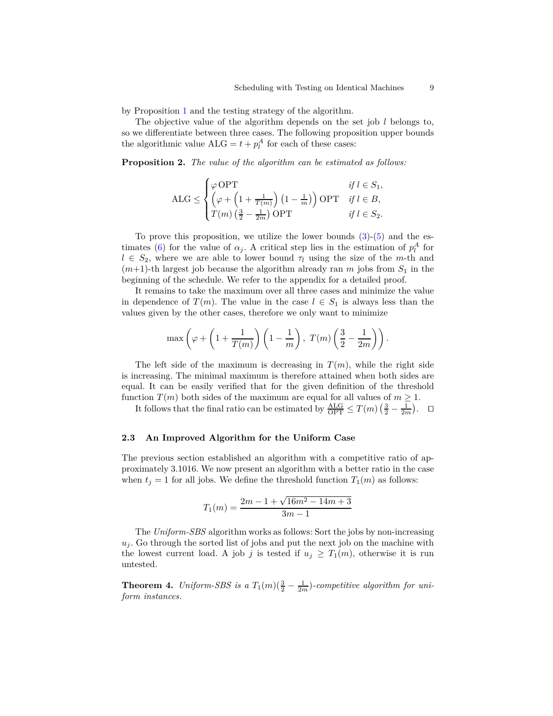by Proposition [1](#page-4-0) and the testing strategy of the algorithm.

The objective value of the algorithm depends on the set job *l* belongs to, so we differentiate between three cases. The following proposition upper bounds the algorithmic value  $ALG = t + p_l^A$  for each of these cases:

**Proposition 2.** *The value of the algorithm can be estimated as follows:*

<span id="page-8-1"></span>
$$
\text{ALG} \le \begin{cases} \varphi \text{ OPT} & \text{if } l \in S_1, \\ \left(\varphi + \left(1 + \frac{1}{T(m)}\right) \left(1 - \frac{1}{m}\right)\right) \text{OPT} & \text{if } l \in B, \\ T(m) \left(\frac{3}{2} - \frac{1}{2m}\right) \text{OPT} & \text{if } l \in S_2. \end{cases}
$$

To prove this proposition, we utilize the lower bounds  $(3)-(5)$  $(3)-(5)$  and the es-timates [\(6\)](#page-7-2) for the value of  $\alpha_j$ . A critical step lies in the estimation of  $p_l^A$  for  $l \in S_2$ , where we are able to lower bound  $\tau_l$  using the size of the *m*-th and  $(m+1)$ -th largest job because the algorithm already ran *m* jobs from  $S_1$  in the beginning of the schedule. We refer to the appendix for a detailed proof.

It remains to take the maximum over all three cases and minimize the value in dependence of  $T(m)$ . The value in the case  $l \in S_1$  is always less than the values given by the other cases, therefore we only want to minimize

$$
\max\left(\varphi + \left(1 + \frac{1}{T(m)}\right)\left(1 - \frac{1}{m}\right), T(m)\left(\frac{3}{2} - \frac{1}{2m}\right)\right).
$$

The left side of the maximum is decreasing in  $T(m)$ , while the right side is increasing. The minimal maximum is therefore attained when both sides are equal. It can be easily verified that for the given definition of the threshold function  $T(m)$  both sides of the maximum are equal for all values of  $m \geq 1$ .

It follows that the final ratio can be estimated by  $\frac{\text{ALG}}{\text{OPT}} \leq T(m) \left( \frac{3}{2} - \frac{1}{2m} \right)$ .  $\Box$ 

#### **2.3 An Improved Algorithm for the Uniform Case**

The previous section established an algorithm with a competitive ratio of approximately 3*.*1016. We now present an algorithm with a better ratio in the case when  $t_j = 1$  for all jobs. We define the threshold function  $T_1(m)$  as follows:

$$
T_1(m) = \frac{2m - 1 + \sqrt{16m^2 - 14m + 3}}{3m - 1}
$$

The *Uniform-SBS* algorithm works as follows: Sort the jobs by non-increasing  $u_j$ . Go through the sorted list of jobs and put the next job on the machine with the lowest current load. A job *j* is tested if  $u_j \geq T_1(m)$ , otherwise it is run untested.

<span id="page-8-0"></span>**Theorem 4.** *Uniform-SBS is a*  $T_1(m)(\frac{3}{2}-\frac{1}{2m})$ *-competitive algorithm for uniform instances.*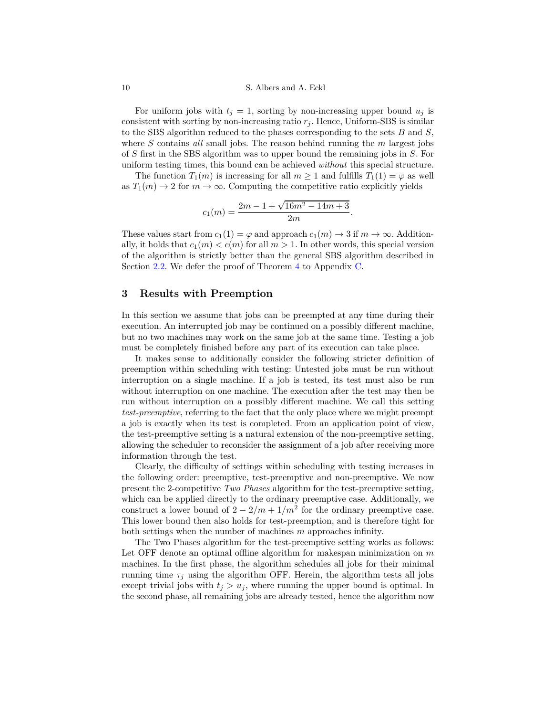#### 10 S. Albers and A. Eckl

For uniform jobs with  $t_j = 1$ , sorting by non-increasing upper bound  $u_j$  is consistent with sorting by non-increasing ratio  $r_j$ . Hence, Uniform-SBS is similar to the SBS algorithm reduced to the phases corresponding to the sets *B* and *S*, where *S* contains *all* small jobs. The reason behind running the *m* largest jobs of *S* first in the SBS algorithm was to upper bound the remaining jobs in *S*. For uniform testing times, this bound can be achieved *without* this special structure.

The function  $T_1(m)$  is increasing for all  $m \geq 1$  and fulfills  $T_1(1) = \varphi$  as well as  $T_1(m) \to 2$  for  $m \to \infty$ . Computing the competitive ratio explicitly yields

$$
c_1(m) = \frac{2m - 1 + \sqrt{16m^2 - 14m + 3}}{2m}.
$$

These values start from  $c_1(1) = \varphi$  and approach  $c_1(m) \to 3$  if  $m \to \infty$ . Additionally, it holds that  $c_1(m) < c(m)$  for all  $m > 1$ . In other words, this special version of the algorithm is strictly better than the general SBS algorithm described in Section [2.2.](#page-5-2) We defer the proof of Theorem [4](#page-8-0) to Appendix [C.](#page-18-0)

## <span id="page-9-0"></span>**3 Results with Preemption**

In this section we assume that jobs can be preempted at any time during their execution. An interrupted job may be continued on a possibly different machine, but no two machines may work on the same job at the same time. Testing a job must be completely finished before any part of its execution can take place.

It makes sense to additionally consider the following stricter definition of preemption within scheduling with testing: Untested jobs must be run without interruption on a single machine. If a job is tested, its test must also be run without interruption on one machine. The execution after the test may then be run without interruption on a possibly different machine. We call this setting *test-preemptive*, referring to the fact that the only place where we might preempt a job is exactly when its test is completed. From an application point of view, the test-preemptive setting is a natural extension of the non-preemptive setting, allowing the scheduler to reconsider the assignment of a job after receiving more information through the test.

Clearly, the difficulty of settings within scheduling with testing increases in the following order: preemptive, test-preemptive and non-preemptive. We now present the 2-competitive *Two Phases* algorithm for the test-preemptive setting, which can be applied directly to the ordinary preemptive case. Additionally, we construct a lower bound of  $2 - 2/m + 1/m^2$  for the ordinary preemptive case. This lower bound then also holds for test-preemption, and is therefore tight for both settings when the number of machines *m* approaches infinity.

The Two Phases algorithm for the test-preemptive setting works as follows: Let OFF denote an optimal offline algorithm for makespan minimization on *m* machines. In the first phase, the algorithm schedules all jobs for their minimal running time  $\tau_i$  using the algorithm OFF. Herein, the algorithm tests all jobs except trivial jobs with  $t_j > u_j$ , where running the upper bound is optimal. In the second phase, all remaining jobs are already tested, hence the algorithm now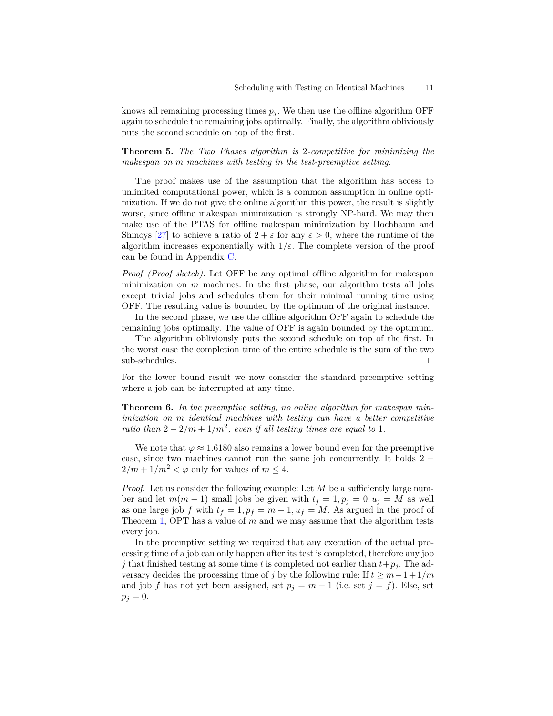knows all remaining processing times  $p_j$ . We then use the offline algorithm OFF again to schedule the remaining jobs optimally. Finally, the algorithm obliviously puts the second schedule on top of the first.

<span id="page-10-0"></span>**Theorem 5.** *The Two Phases algorithm is* 2*-competitive for minimizing the makespan on m machines with testing in the test-preemptive setting.*

The proof makes use of the assumption that the algorithm has access to unlimited computational power, which is a common assumption in online optimization. If we do not give the online algorithm this power, the result is slightly worse, since offline makespan minimization is strongly NP-hard. We may then make use of the PTAS for offline makespan minimization by Hochbaum and Shmoys [\[27\]](#page-13-15) to achieve a ratio of  $2 + \varepsilon$  for any  $\varepsilon > 0$ , where the runtime of the algorithm increases exponentially with  $1/\varepsilon$ . The complete version of the proof can be found in Appendix [C.](#page-18-0)

*Proof (Proof sketch).* Let OFF be any optimal offline algorithm for makespan minimization on *m* machines. In the first phase, our algorithm tests all jobs except trivial jobs and schedules them for their minimal running time using OFF. The resulting value is bounded by the optimum of the original instance.

In the second phase, we use the offline algorithm OFF again to schedule the remaining jobs optimally. The value of OFF is again bounded by the optimum.

The algorithm obliviously puts the second schedule on top of the first. In the worst case the completion time of the entire schedule is the sum of the two sub-schedules. ⊓⊔

For the lower bound result we now consider the standard preemptive setting where a job can be interrupted at any time.

**Theorem 6.** *In the preemptive setting, no online algorithm for makespan minimization on m identical machines with testing can have a better competitive ratio than*  $2 - 2/m + 1/m^2$ , even if all testing times are equal to 1*.* 

We note that  $\varphi \approx 1.6180$  also remains a lower bound even for the preemptive case, since two machines cannot run the same job concurrently. It holds  $2 2/m + 1/m^2 < \varphi$  only for values of  $m \leq 4$ .

*Proof.* Let us consider the following example: Let *M* be a sufficiently large number and let  $m(m-1)$  small jobs be given with  $t_j = 1, p_j = 0, u_j = M$  as well as one large job *f* with  $t_f = 1, p_f = m - 1, u_f = M$ . As argued in the proof of Theorem [1,](#page-5-1) OPT has a value of *m* and we may assume that the algorithm tests every job.

In the preemptive setting we required that any execution of the actual processing time of a job can only happen after its test is completed, therefore any job *j* that finished testing at some time *t* is completed not earlier than  $t + p_j$ . The adversary decides the processing time of *j* by the following rule: If  $t \geq m-1+1/m$ and job *f* has not yet been assigned, set  $p_j = m - 1$  (i.e. set  $j = f$ ). Else, set  $p_j = 0.$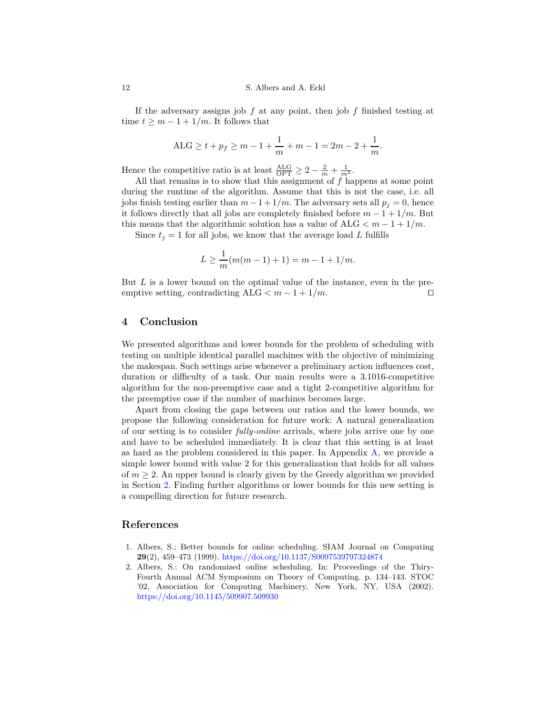If the adversary assigns job *f* at any point, then job *f* finished testing at time  $t \geq m - 1 + 1/m$ . It follows that

$$
ALG \ge t + p_f \ge m - 1 + \frac{1}{m} + m - 1 = 2m - 2 + \frac{1}{m}.
$$

Hence the competitive ratio is at least  $\frac{\text{ALG}}{\text{OPT}} \geq 2 - \frac{2}{m} + \frac{1}{m^2}$ .

All that remains is to show that this assignment of *f* happens at some point during the runtime of the algorithm. Assume that this is not the case, i.e. all jobs finish testing earlier than  $m-1+1/m$ . The adversary sets all  $p_j = 0$ , hence it follows directly that all jobs are completely finished before  $m - 1 + \frac{1}{m}$ . But this means that the algorithmic solution has a value of  $ALG < m - 1 + 1/m$ .

Since  $t_i = 1$  for all jobs, we know that the average load L fulfills

$$
L \ge \frac{1}{m}(m(m-1)+1) = m - 1 + 1/m.
$$

But *L* is a lower bound on the optimal value of the instance, even in the preemptive setting, contradicting ALG  $\lt m - 1 + 1/m$ . □

## **4 Conclusion**

We presented algorithms and lower bounds for the problem of scheduling with testing on multiple identical parallel machines with the objective of minimizing the makespan. Such settings arise whenever a preliminary action influences cost, duration or difficulty of a task. Our main results were a 3*.*1016-competitive algorithm for the non-preemptive case and a tight 2-competitive algorithm for the preemptive case if the number of machines becomes large.

Apart from closing the gaps between our ratios and the lower bounds, we propose the following consideration for future work: A natural generalization of our setting is to consider *fully-online* arrivals, where jobs arrive one by one and have to be scheduled immediately. It is clear that this setting is at least as hard as the problem considered in this paper. In Appendix [A,](#page-15-0) we provide a simple lower bound with value 2 for this generalization that holds for all values of  $m \geq 2$ . An upper bound is clearly given by the Greedy algorithm we provided in Section [2.](#page-5-0) Finding further algorithms or lower bounds for this new setting is a compelling direction for future research.

# **References**

- <span id="page-11-0"></span>1. Albers, S.: Better bounds for online scheduling. SIAM Journal on Computing **29**(2), 459–473 (1999). <https://doi.org/10.1137/S0097539797324874>
- <span id="page-11-1"></span>2. Albers, S.: On randomized online scheduling. In: Proceedings of the Thiry-Fourth Annual ACM Symposium on Theory of Computing. p. 134–143. STOC '02, Association for Computing Machinery, New York, NY, USA (2002). <https://doi.org/10.1145/509907.509930>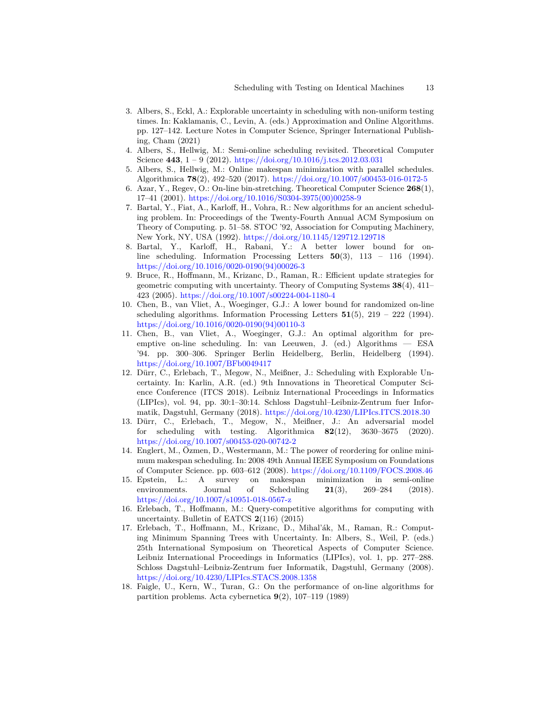- <span id="page-12-1"></span>3. Albers, S., Eckl, A.: Explorable uncertainty in scheduling with non-uniform testing times. In: Kaklamanis, C., Levin, A. (eds.) Approximation and Online Algorithms. pp. 127–142. Lecture Notes in Computer Science, Springer International Publishing, Cham (2021)
- <span id="page-12-10"></span>4. Albers, S., Hellwig, M.: Semi-online scheduling revisited. Theoretical Computer Science **443**, 1 – 9 (2012). <https://doi.org/10.1016/j.tcs.2012.03.031>
- <span id="page-12-8"></span>5. Albers, S., Hellwig, M.: Online makespan minimization with parallel schedules. Algorithmica **78**(2), 492–520 (2017). <https://doi.org/10.1007/s00453-016-0172-5>
- <span id="page-12-11"></span>6. Azar, Y., Regev, O.: On-line bin-stretching. Theoretical Computer Science **268**(1), 17–41 (2001). [https://doi.org/10.1016/S0304-3975\(00\)00258-9](https://doi.org/10.1016/S0304-3975(00)00258-9)
- <span id="page-12-3"></span>7. Bartal, Y., Fiat, A., Karloff, H., Vohra, R.: New algorithms for an ancient scheduling problem. In: Proceedings of the Twenty-Fourth Annual ACM Symposium on Theory of Computing. p. 51–58. STOC '92, Association for Computing Machinery, New York, NY, USA (1992). <https://doi.org/10.1145/129712.129718>
- <span id="page-12-5"></span>8. Bartal, Y., Karloff, H., Rabani, Y.: A better lower bound for online scheduling. Information Processing Letters **50**(3), 113 – 116 (1994). [https://doi.org/10.1016/0020-0190\(94\)00026-3](https://doi.org/10.1016/0020-0190(94)00026-3)
- <span id="page-12-13"></span>9. Bruce, R., Hoffmann, M., Krizanc, D., Raman, R.: Efficient update strategies for geometric computing with uncertainty. Theory of Computing Systems **38**(4), 411– 423 (2005). <https://doi.org/10.1007/s00224-004-1180-4>
- <span id="page-12-6"></span>10. Chen, B., van Vliet, A., Woeginger, G.J.: A lower bound for randomized on-line scheduling algorithms. Information Processing Letters **51**(5), 219 – 222 (1994). [https://doi.org/10.1016/0020-0190\(94\)00110-3](https://doi.org/10.1016/0020-0190(94)00110-3)
- <span id="page-12-7"></span>11. Chen, B., van Vliet, A., Woeginger, G.J.: An optimal algorithm for preemptive on-line scheduling. In: van Leeuwen, J. (ed.) Algorithms — ESA '94. pp. 300–306. Springer Berlin Heidelberg, Berlin, Heidelberg (1994). <https://doi.org/10.1007/BFb0049417>
- <span id="page-12-0"></span>12. Dürr, C., Erlebach, T., Megow, N., Meißner, J.: Scheduling with Explorable Uncertainty. In: Karlin, A.R. (ed.) 9th Innovations in Theoretical Computer Science Conference (ITCS 2018). Leibniz International Proceedings in Informatics (LIPIcs), vol. 94, pp. 30:1–30:14. Schloss Dagstuhl–Leibniz-Zentrum fuer Informatik, Dagstuhl, Germany (2018). <https://doi.org/10.4230/LIPIcs.ITCS.2018.30>
- <span id="page-12-2"></span>13. Dürr, C., Erlebach, T., Megow, N., Meißner, J.: An adversarial model for scheduling with testing. Algorithmica **82**(12), 3630–3675 (2020). <https://doi.org/10.1007/s00453-020-00742-2>
- <span id="page-12-9"></span>14. Englert, M., Özmen, D., Westermann, M.: The power of reordering for online minimum makespan scheduling. In: 2008 49th Annual IEEE Symposium on Foundations of Computer Science. pp. 603–612 (2008). <https://doi.org/10.1109/FOCS.2008.46>
- <span id="page-12-12"></span>15. Epstein, L.: A survey on makespan minimization in semi-online environments. Journal of Scheduling **21**(3), 269–284 (2018). <https://doi.org/10.1007/s10951-018-0567-z>
- <span id="page-12-15"></span>16. Erlebach, T., Hoffmann, M.: Query-competitive algorithms for computing with uncertainty. Bulletin of EATCS **2**(116) (2015)
- <span id="page-12-14"></span>17. Erlebach, T., Hoffmann, M., Krizanc, D., Mihal'ák, M., Raman, R.: Computing Minimum Spanning Trees with Uncertainty. In: Albers, S., Weil, P. (eds.) 25th International Symposium on Theoretical Aspects of Computer Science. Leibniz International Proceedings in Informatics (LIPIcs), vol. 1, pp. 277–288. Schloss Dagstuhl–Leibniz-Zentrum fuer Informatik, Dagstuhl, Germany (2008). <https://doi.org/10.4230/LIPIcs.STACS.2008.1358>
- <span id="page-12-4"></span>18. Faigle, U., Kern, W., Turan, G.: On the performance of on-line algorithms for partition problems. Acta cybernetica **9**(2), 107–119 (1989)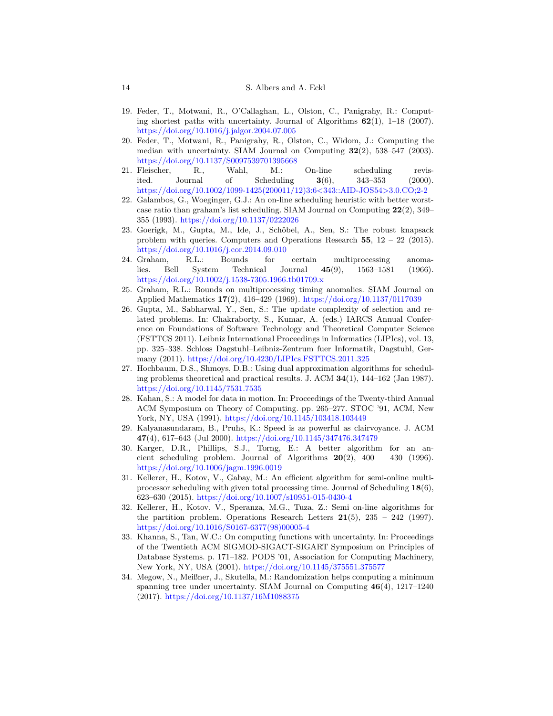- <span id="page-13-13"></span>19. Feder, T., Motwani, R., O'Callaghan, L., Olston, C., Panigrahy, R.: Computing shortest paths with uncertainty. Journal of Algorithms **62**(1), 1–18 (2007). <https://doi.org/10.1016/j.jalgor.2004.07.005>
- <span id="page-13-9"></span>20. Feder, T., Motwani, R., Panigrahy, R., Olston, C., Widom, J.: Computing the median with uncertainty. SIAM Journal on Computing **32**(2), 538–547 (2003). <https://doi.org/10.1137/S0097539701395668>
- <span id="page-13-1"></span>21. Fleischer, R., Wahl, M.: On-line scheduling revisited. Journal of Scheduling **3**(6), 343–353 (2000). [https://doi.org/10.1002/1099-1425\(200011/12\)3:6<343::AID-JOS54>3.0.CO;2-2](https://doi.org/10.1002/1099-1425(200011/12)3:6<343::AID-JOS54>3.0.CO;2-2)
- <span id="page-13-2"></span>22. Galambos, G., Woeginger, G.J.: An on-line scheduling heuristic with better worstcase ratio than graham's list scheduling. SIAM Journal on Computing **22**(2), 349– 355 (1993). <https://doi.org/10.1137/0222026>
- <span id="page-13-14"></span>23. Goerigk, M., Gupta, M., Ide, J., Schöbel, A., Sen, S.: The robust knapsack problem with queries. Computers and Operations Research **55**, 12 – 22 (2015). <https://doi.org/10.1016/j.cor.2014.09.010>
- <span id="page-13-0"></span>24. Graham, R.L.: Bounds for certain multiprocessing anomalies. Bell System Technical Journal **45**(9), 1563–1581 (1966). <https://doi.org/10.1002/j.1538-7305.1966.tb01709.x>
- <span id="page-13-7"></span>25. Graham, R.L.: Bounds on multiprocessing timing anomalies. SIAM Journal on Applied Mathematics **17**(2), 416–429 (1969). <https://doi.org/10.1137/0117039>
- <span id="page-13-10"></span>26. Gupta, M., Sabharwal, Y., Sen, S.: The update complexity of selection and related problems. In: Chakraborty, S., Kumar, A. (eds.) IARCS Annual Conference on Foundations of Software Technology and Theoretical Computer Science (FSTTCS 2011). Leibniz International Proceedings in Informatics (LIPIcs), vol. 13, pp. 325–338. Schloss Dagstuhl–Leibniz-Zentrum fuer Informatik, Dagstuhl, Germany (2011). <https://doi.org/10.4230/LIPIcs.FSTTCS.2011.325>
- <span id="page-13-15"></span>27. Hochbaum, D.S., Shmoys, D.B.: Using dual approximation algorithms for scheduling problems theoretical and practical results. J. ACM **34**(1), 144–162 (Jan 1987). <https://doi.org/10.1145/7531.7535>
- <span id="page-13-8"></span>28. Kahan, S.: A model for data in motion. In: Proceedings of the Twenty-third Annual ACM Symposium on Theory of Computing. pp. 265–277. STOC '91, ACM, New York, NY, USA (1991). <https://doi.org/10.1145/103418.103449>
- <span id="page-13-4"></span>29. Kalyanasundaram, B., Pruhs, K.: Speed is as powerful as clairvoyance. J. ACM **47**(4), 617–643 (Jul 2000). <https://doi.org/10.1145/347476.347479>
- <span id="page-13-3"></span>30. Karger, D.R., Phillips, S.J., Torng, E.: A better algorithm for an ancient scheduling problem. Journal of Algorithms  $20(2)$ ,  $400 - 430$  (1996). <https://doi.org/10.1006/jagm.1996.0019>
- <span id="page-13-6"></span>31. Kellerer, H., Kotov, V., Gabay, M.: An efficient algorithm for semi-online multiprocessor scheduling with given total processing time. Journal of Scheduling **18**(6), 623–630 (2015). <https://doi.org/10.1007/s10951-015-0430-4>
- <span id="page-13-5"></span>32. Kellerer, H., Kotov, V., Speranza, M.G., Tuza, Z.: Semi on-line algorithms for the partition problem. Operations Research Letters **21**(5), 235 – 242 (1997). [https://doi.org/10.1016/S0167-6377\(98\)00005-4](https://doi.org/10.1016/S0167-6377(98)00005-4)
- <span id="page-13-11"></span>33. Khanna, S., Tan, W.C.: On computing functions with uncertainty. In: Proceedings of the Twentieth ACM SIGMOD-SIGACT-SIGART Symposium on Principles of Database Systems. p. 171–182. PODS '01, Association for Computing Machinery, New York, NY, USA (2001). <https://doi.org/10.1145/375551.375577>
- <span id="page-13-12"></span>34. Megow, N., Meißner, J., Skutella, M.: Randomization helps computing a minimum spanning tree under uncertainty. SIAM Journal on Computing **46**(4), 1217–1240 (2017). <https://doi.org/10.1137/16M1088375>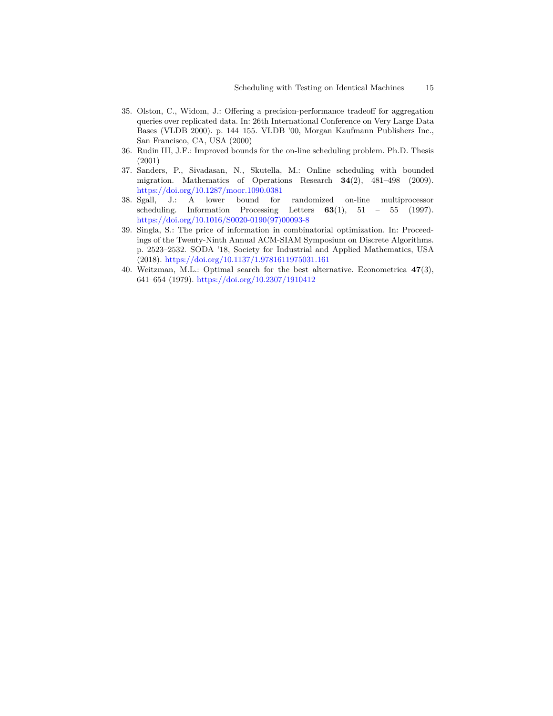- <span id="page-14-3"></span>35. Olston, C., Widom, J.: Offering a precision-performance tradeoff for aggregation queries over replicated data. In: 26th International Conference on Very Large Data Bases (VLDB 2000). p. 144–155. VLDB '00, Morgan Kaufmann Publishers Inc., San Francisco, CA, USA (2000)
- <span id="page-14-0"></span>36. Rudin III, J.F.: Improved bounds for the on-line scheduling problem. Ph.D. Thesis (2001)
- <span id="page-14-2"></span>37. Sanders, P., Sivadasan, N., Skutella, M.: Online scheduling with bounded migration. Mathematics of Operations Research **34**(2), 481–498 (2009). <https://doi.org/10.1287/moor.1090.0381>
- <span id="page-14-1"></span>38. Sgall, J.: A lower bound for randomized on-line multiprocessor scheduling. Information Processing Letters **63**(1), 51 – 55 (1997). [https://doi.org/10.1016/S0020-0190\(97\)00093-8](https://doi.org/10.1016/S0020-0190(97)00093-8)
- <span id="page-14-5"></span>39. Singla, S.: The price of information in combinatorial optimization. In: Proceedings of the Twenty-Ninth Annual ACM-SIAM Symposium on Discrete Algorithms. p. 2523–2532. SODA '18, Society for Industrial and Applied Mathematics, USA (2018). <https://doi.org/10.1137/1.9781611975031.161>
- <span id="page-14-4"></span>40. Weitzman, M.L.: Optimal search for the best alternative. Econometrica **47**(3), 641–654 (1979). <https://doi.org/10.2307/1910412>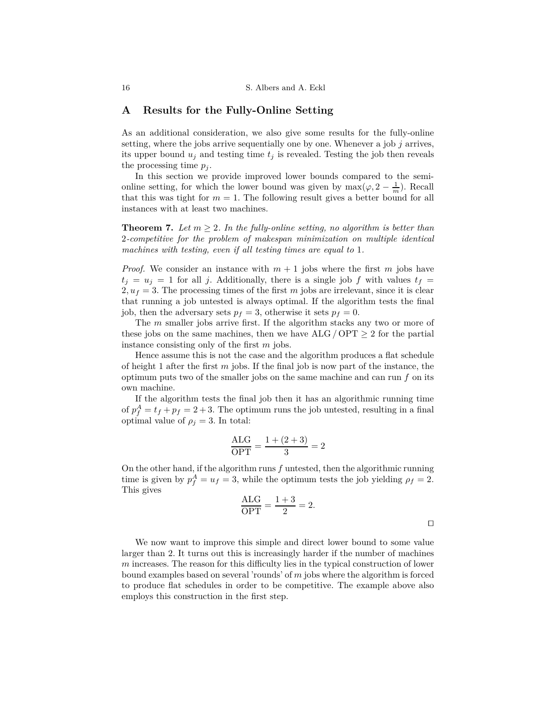## <span id="page-15-0"></span>**A Results for the Fully-Online Setting**

As an additional consideration, we also give some results for the fully-online setting, where the jobs arrive sequentially one by one. Whenever a job *j* arrives, its upper bound  $u_j$  and testing time  $t_j$  is revealed. Testing the job then reveals the processing time  $p_j$ .

In this section we provide improved lower bounds compared to the semionline setting, for which the lower bound was given by  $\max(\varphi, 2 - \frac{1}{m})$ . Recall that this was tight for  $m = 1$ . The following result gives a better bound for all instances with at least two machines.

**Theorem 7.** Let  $m \geq 2$ . In the fully-online setting, no algorithm is better than 2*-competitive for the problem of makespan minimization on multiple identical machines with testing, even if all testing times are equal to* 1*.*

*Proof.* We consider an instance with  $m + 1$  jobs where the first m jobs have  $t_j = u_j = 1$  for all *j*. Additionally, there is a single job *f* with values  $t_f =$  $2, u_f = 3$ . The processing times of the first *m* jobs are irrelevant, since it is clear that running a job untested is always optimal. If the algorithm tests the final job, then the adversary sets  $p_f = 3$ , otherwise it sets  $p_f = 0$ .

The *m* smaller jobs arrive first. If the algorithm stacks any two or more of these jobs on the same machines, then we have  $ALG / OPT \ge 2$  for the partial instance consisting only of the first *m* jobs.

Hence assume this is not the case and the algorithm produces a flat schedule of height 1 after the first *m* jobs. If the final job is now part of the instance, the optimum puts two of the smaller jobs on the same machine and can run *f* on its own machine.

If the algorithm tests the final job then it has an algorithmic running time of  $p_f^A = t_f + p_f = 2 + 3$ . The optimum runs the job untested, resulting in a final optimal value of  $\rho_i = 3$ . In total:

$$
\frac{\text{ALG}}{\text{OPT}} = \frac{1 + (2 + 3)}{3} = 2
$$

On the other hand, if the algorithm runs *f* untested, then the algorithmic running time is given by  $p_f^A = u_f = 3$ , while the optimum tests the job yielding  $\rho_f = 2$ . This gives

$$
\frac{\text{ALG}}{\text{OPT}} = \frac{1+3}{2} = 2.
$$

We now want to improve this simple and direct lower bound to some value larger than 2. It turns out this is increasingly harder if the number of machines *m* increases. The reason for this difficulty lies in the typical construction of lower bound examples based on several 'rounds' of *m* jobs where the algorithm is forced to produce flat schedules in order to be competitive. The example above also employs this construction in the first step.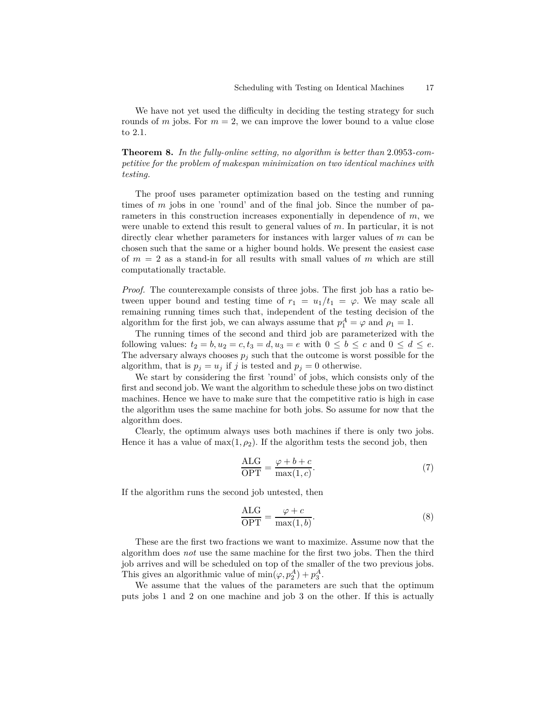We have not yet used the difficulty in deciding the testing strategy for such rounds of *m* jobs. For  $m = 2$ , we can improve the lower bound to a value close to 2*.*1.

**Theorem 8.** *In the fully-online setting, no algorithm is better than* 2*.*0953*-competitive for the problem of makespan minimization on two identical machines with testing.*

The proof uses parameter optimization based on the testing and running times of *m* jobs in one 'round' and of the final job. Since the number of parameters in this construction increases exponentially in dependence of *m*, we were unable to extend this result to general values of *m*. In particular, it is not directly clear whether parameters for instances with larger values of *m* can be chosen such that the same or a higher bound holds. We present the easiest case of  $m = 2$  as a stand-in for all results with small values of  $m$  which are still computationally tractable.

*Proof.* The counterexample consists of three jobs. The first job has a ratio between upper bound and testing time of  $r_1 = u_1/t_1 = \varphi$ . We may scale all remaining running times such that, independent of the testing decision of the algorithm for the first job, we can always assume that  $p_1^A = \varphi$  and  $\rho_1 = 1$ .

The running times of the second and third job are parameterized with the following values:  $t_2 = b$ ,  $u_2 = c$ ,  $t_3 = d$ ,  $u_3 = e$  with  $0 \leq b \leq c$  and  $0 \leq d \leq e$ . The adversary always chooses  $p_j$  such that the outcome is worst possible for the algorithm, that is  $p_j = u_j$  if *j* is tested and  $p_j = 0$  otherwise.

We start by considering the first 'round' of jobs, which consists only of the first and second job. We want the algorithm to schedule these jobs on two distinct machines. Hence we have to make sure that the competitive ratio is high in case the algorithm uses the same machine for both jobs. So assume for now that the algorithm does.

Clearly, the optimum always uses both machines if there is only two jobs. Hence it has a value of  $\max(1, \rho_2)$ . If the algorithm tests the second job, then

<span id="page-16-0"></span>
$$
\frac{\text{ALG}}{\text{OPT}} = \frac{\varphi + b + c}{\max(1, c)}.
$$
\n(7)

If the algorithm runs the second job untested, then

$$
\frac{\text{ALG}}{\text{OPT}} = \frac{\varphi + c}{\max(1, b)}.\tag{8}
$$

These are the first two fractions we want to maximize. Assume now that the algorithm does *not* use the same machine for the first two jobs. Then the third job arrives and will be scheduled on top of the smaller of the two previous jobs. This gives an algorithmic value of  $\min(\varphi, p_2^A) + p_3^A$ .

We assume that the values of the parameters are such that the optimum puts jobs 1 and 2 on one machine and job 3 on the other. If this is actually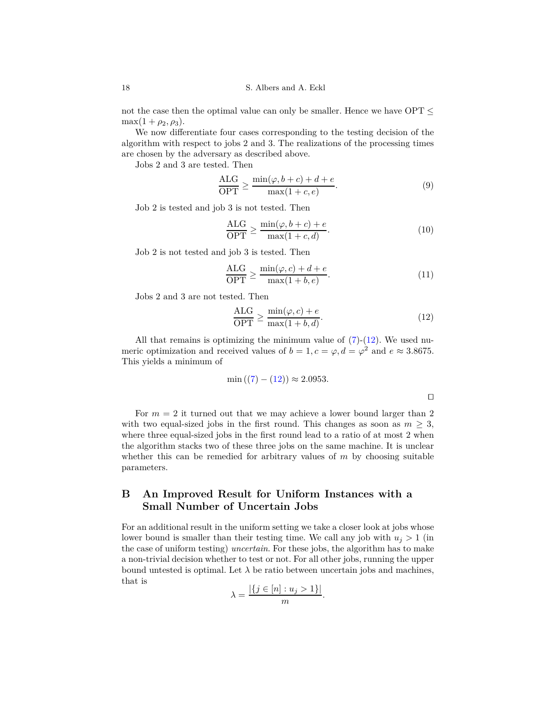not the case then the optimal value can only be smaller. Hence we have  $\text{OPT} \leq$  $\max(1 + \rho_2, \rho_3).$ 

We now differentiate four cases corresponding to the testing decision of the algorithm with respect to jobs 2 and 3. The realizations of the processing times are chosen by the adversary as described above.

Jobs 2 and 3 are tested. Then

$$
\frac{\text{ALG}}{\text{OPT}} \ge \frac{\min(\varphi, b+c) + d + e}{\max(1+c, e)}.\tag{9}
$$

Job 2 is tested and job 3 is not tested. Then

$$
\frac{\text{ALG}}{\text{OPT}} \ge \frac{\min(\varphi, b+c) + e}{\max(1+c, d)}.\tag{10}
$$

Job 2 is not tested and job 3 is tested. Then

$$
\frac{\text{ALG}}{\text{OPT}} \ge \frac{\min(\varphi, c) + d + e}{\max(1 + b, e)}.\tag{11}
$$

Jobs 2 and 3 are not tested. Then

<span id="page-17-0"></span>
$$
\frac{\text{ALG}}{\text{OPT}} \ge \frac{\min(\varphi, c) + e}{\max(1 + b, d)}.\tag{12}
$$

⊓⊔

All that remains is optimizing the minimum value of  $(7)-(12)$  $(7)-(12)$  $(7)-(12)$ . We used numeric optimization and received values of  $b = 1, c = \varphi, d = \varphi^2$  and  $e \approx 3.8675$ . This yields a minimum of

$$
\min ((7) - (12)) \approx 2.0953.
$$

For  $m = 2$  it turned out that we may achieve a lower bound larger than 2 with two equal-sized jobs in the first round. This changes as soon as  $m > 3$ , where three equal-sized jobs in the first round lead to a ratio of at most 2 when the algorithm stacks two of these three jobs on the same machine. It is unclear whether this can be remedied for arbitrary values of *m* by choosing suitable parameters.

# **B An Improved Result for Uniform Instances with a Small Number of Uncertain Jobs**

For an additional result in the uniform setting we take a closer look at jobs whose lower bound is smaller than their testing time. We call any job with  $u_j > 1$  (in the case of uniform testing) *uncertain*. For these jobs, the algorithm has to make a non-trivial decision whether to test or not. For all other jobs, running the upper bound untested is optimal. Let  $\lambda$  be ratio between uncertain jobs and machines, that is

$$
\lambda = \frac{|\{j \in [n] : u_j > 1\}|}{m}.
$$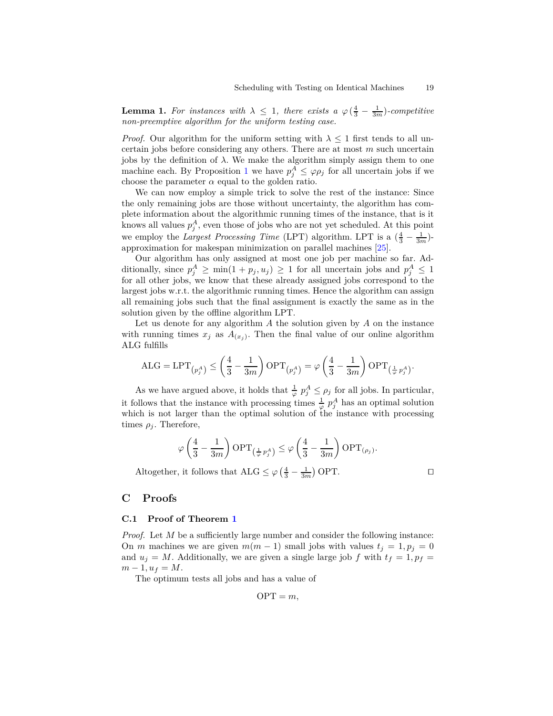**Lemma 1.** For instances with  $\lambda \leq 1$ , there exists a  $\varphi\left(\frac{4}{3} - \frac{1}{3m}\right)$ *-competitive non-preemptive algorithm for the uniform testing case.*

*Proof.* Our algorithm for the uniform setting with  $\lambda \leq 1$  first tends to all uncertain jobs before considering any others. There are at most *m* such uncertain jobs by the definition of  $\lambda$ . We make the algorithm simply assign them to one machine each. By Proposition [1](#page-4-0) we have  $p_j^A \leq \varphi \rho_j$  for all uncertain jobs if we choose the parameter  $\alpha$  equal to the golden ratio.

We can now employ a simple trick to solve the rest of the instance: Since the only remaining jobs are those without uncertainty, the algorithm has complete information about the algorithmic running times of the instance, that is it knows all values  $p_j^A$ , even those of jobs who are not yet scheduled. At this point we employ the *Largest Processing Time* (LPT) algorithm. LPT is a  $(\frac{4}{3} - \frac{1}{3m})$ approximation for makespan minimization on parallel machines [\[25\]](#page-13-7).

Our algorithm has only assigned at most one job per machine so far. Additionally, since  $p_j^A \ge \min(1 + p_j, u_j) \ge 1$  for all uncertain jobs and  $p_j^A \le 1$ for all other jobs, we know that these already assigned jobs correspond to the largest jobs w.r.t. the algorithmic running times. Hence the algorithm can assign all remaining jobs such that the final assignment is exactly the same as in the solution given by the offline algorithm LPT.

Let us denote for any algorithm *A* the solution given by *A* on the instance with running times  $x_j$  as  $A_{(x_j)}$ . Then the final value of our online algorithm ALG fulfills

$$
\mathrm{ALG} = \mathrm{LPT}_{\left(p^A_j\right)} \le \left(\frac{4}{3} - \frac{1}{3m}\right) \mathrm{OPT}_{\left(p^A_j\right)} = \varphi \left(\frac{4}{3} - \frac{1}{3m}\right) \mathrm{OPT}_{\left(\frac{1}{\varphi}p^A_j\right)}.
$$

As we have argued above, it holds that  $\frac{1}{\varphi} p_j^A \leq \rho_j$  for all jobs. In particular, it follows that the instance with processing times  $\frac{1}{\varphi} p_j^A$  has an optimal solution which is not larger than the optimal solution of the instance with processing times  $\rho_j$ . Therefore,

$$
\varphi\left(\frac{4}{3}-\frac{1}{3m}\right) \text{OPT}_{\left(\frac{1}{\varphi}p_j^A\right)} \leq \varphi\left(\frac{4}{3}-\frac{1}{3m}\right) \text{OPT}_{\left(\rho_j\right)}.
$$

Altogether, it follows that  $ALG \le \varphi \left( \frac{4}{3} - \frac{1}{3m} \right)$  OPT.

## <span id="page-18-0"></span>**C Proofs**

#### **C.1 Proof of Theorem [1](#page-5-1)**

*Proof.* Let *M* be a sufficiently large number and consider the following instance: On *m* machines we are given  $m(m-1)$  small jobs with values  $t_j = 1, p_j = 0$ and  $u_j = M$ . Additionally, we are given a single large job *f* with  $t_f = 1, p_f =$  $m - 1, u_f = M$ .

The optimum tests all jobs and has a value of

$$
OPT = m,
$$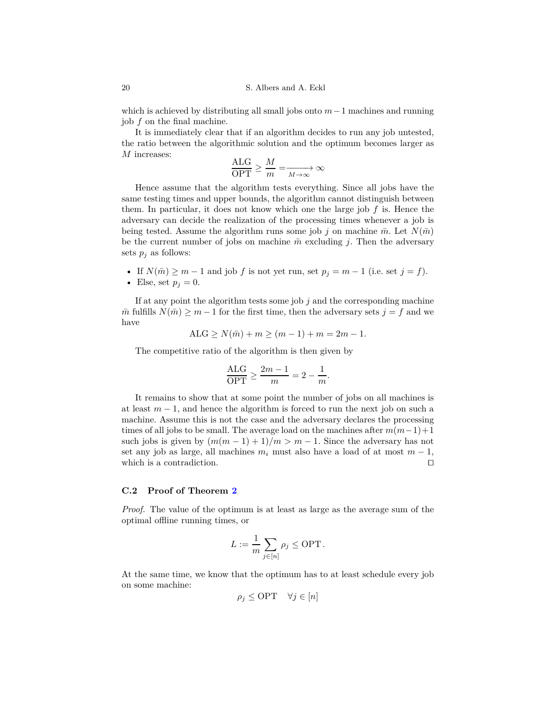which is achieved by distributing all small jobs onto *m*−1 machines and running job *f* on the final machine.

It is immediately clear that if an algorithm decides to run any job untested, the ratio between the algorithmic solution and the optimum becomes larger as *M* increases:

$$
\frac{\text{ALG}}{\text{OPT}} \ge \frac{M}{m} = \xrightarrow[M \to \infty]{} \infty
$$

Hence assume that the algorithm tests everything. Since all jobs have the same testing times and upper bounds, the algorithm cannot distinguish between them. In particular, it does not know which one the large job *f* is. Hence the adversary can decide the realization of the processing times whenever a job is being tested. Assume the algorithm runs some job *j* on machine  $\bar{m}$ . Let  $N(\bar{m})$ be the current number of jobs on machine  $\bar{m}$  excluding *j*. Then the adversary sets  $p_j$  as follows:

- If  $N(\bar{m}) \geq m 1$  and job  $f$  is not yet run, set  $p_j = m 1$  (i.e. set  $j = f$ ).
- Else, set  $p_j = 0$ .

If at any point the algorithm tests some job *j* and the corresponding machine  $\overline{m}$  fulfills  $N(\overline{m}) \geq m-1$  for the first time, then the adversary sets  $j = f$  and we have

$$
ALG \ge N(\bar{m}) + m \ge (m - 1) + m = 2m - 1.
$$

The competitive ratio of the algorithm is then given by

$$
\frac{\mathrm{ALG}}{\mathrm{OPT}} \ge \frac{2m-1}{m} = 2 - \frac{1}{m}.
$$

It remains to show that at some point the number of jobs on all machines is at least *m* − 1, and hence the algorithm is forced to run the next job on such a machine. Assume this is not the case and the adversary declares the processing times of all jobs to be small. The average load on the machines after  $m(m-1)+1$ such jobs is given by  $(m(m-1)+1)/m > m-1$ . Since the adversary has not set any job as large, all machines  $m_i$  must also have a load of at most  $m-1$ , which is a contradiction. which is a contradiction.

#### **C.2 Proof of Theorem [2](#page-5-3)**

*Proof.* The value of the optimum is at least as large as the average sum of the optimal offline running times, or

$$
L := \frac{1}{m} \sum_{j \in [n]} \rho_j \le \text{OPT}.
$$

At the same time, we know that the optimum has to at least schedule every job on some machine:

$$
\rho_j \le \text{OPT} \quad \forall j \in [n]
$$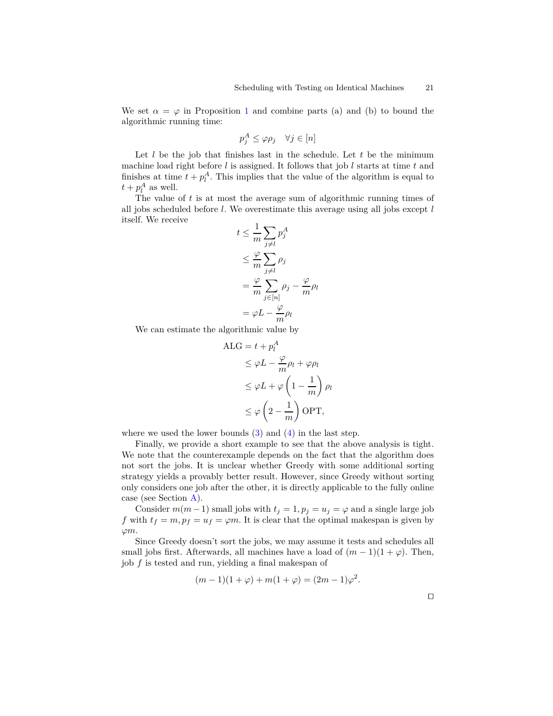We set  $\alpha = \varphi$  in Proposition [1](#page-4-0) and combine parts (a) and (b) to bound the algorithmic running time:

$$
p_j^A \le \varphi \rho_j \quad \forall j \in [n]
$$

Let *l* be the job that finishes last in the schedule. Let *t* be the minimum machine load right before *l* is assigned. It follows that job *l* starts at time *t* and finishes at time  $t + p_l^A$ . This implies that the value of the algorithm is equal to  $t + p_l^A$  as well.

The value of *t* is at most the average sum of algorithmic running times of all jobs scheduled before *l*. We overestimate this average using all jobs except *l* itself. We receive 1

$$
t \leq \frac{1}{m} \sum_{j \neq l} p_j^A
$$
  
\n
$$
\leq \frac{\varphi}{m} \sum_{j \neq l} \rho_j
$$
  
\n
$$
= \frac{\varphi}{m} \sum_{j \in [n]} \rho_j - \frac{\varphi}{m} \rho_l
$$
  
\n
$$
= \varphi L - \frac{\varphi}{m} \rho_l
$$

We can estimate the algorithmic value by

$$
\begin{aligned} \text{ALG} &= t + p_l^A\\ &\leq \varphi L - \frac{\varphi}{m} \rho_l + \varphi \rho_l\\ &\leq \varphi L + \varphi \left(1 - \frac{1}{m}\right) \rho_l\\ &\leq \varphi \left(2 - \frac{1}{m}\right) \text{OPT}, \end{aligned}
$$

where we used the lower bounds  $(3)$  and  $(4)$  in the last step.

Finally, we provide a short example to see that the above analysis is tight. We note that the counterexample depends on the fact that the algorithm does not sort the jobs. It is unclear whether Greedy with some additional sorting strategy yields a provably better result. However, since Greedy without sorting only considers one job after the other, it is directly applicable to the fully online case (see Section [A\)](#page-15-0).

Consider  $m(m-1)$  small jobs with  $t_j = 1, p_j = u_j = \varphi$  and a single large job *f* with  $t_f = m$ ,  $p_f = u_f = \varphi m$ . It is clear that the optimal makespan is given by *ϕm*.

Since Greedy doesn't sort the jobs, we may assume it tests and schedules all small jobs first. Afterwards, all machines have a load of  $(m-1)(1+\varphi)$ . Then, job *f* is tested and run, yielding a final makespan of

$$
(m-1)(1 + \varphi) + m(1 + \varphi) = (2m - 1)\varphi^{2}.
$$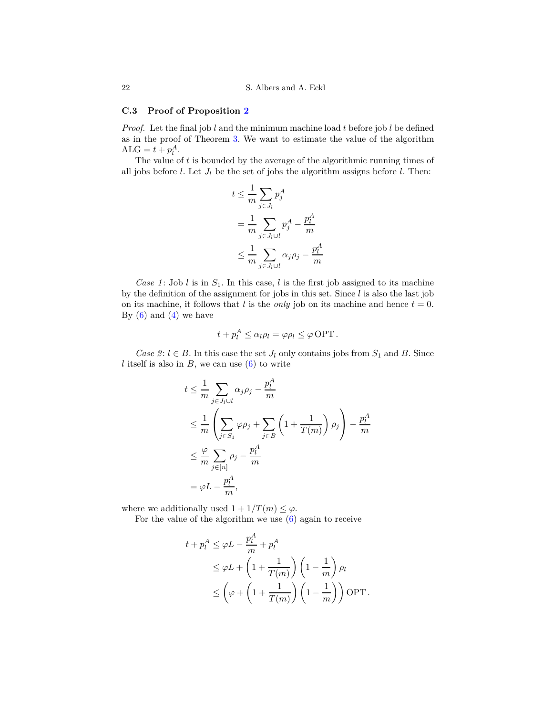## **C.3 Proof of Proposition [2](#page-8-1)**

*Proof.* Let the final job *l* and the minimum machine load *t* before job *l* be defined as in the proof of Theorem [3.](#page-7-4) We want to estimate the value of the algorithm  $ALG = t + p_l^A$ .

The value of *t* is bounded by the average of the algorithmic running times of all jobs before  $l$ . Let  $J_l$  be the set of jobs the algorithm assigns before  $l$ . Then:

$$
t \leq \frac{1}{m} \sum_{j \in J_l} p_j^A
$$
  
= 
$$
\frac{1}{m} \sum_{j \in J_l \cup l} p_j^A - \frac{p_l^A}{m}
$$
  

$$
\leq \frac{1}{m} \sum_{j \in J_l \cup l} \alpha_j \rho_j - \frac{p_l^A}{m}
$$

*Case 1*: Job *l* is in  $S_1$ . In this case, *l* is the first job assigned to its machine by the definition of the assignment for jobs in this set. Since *l* is also the last job on its machine, it follows that *l* is the *only* job on its machine and hence  $t = 0$ . By  $(6)$  and  $(4)$  we have

$$
t + p_l^A \le \alpha_l \rho_l = \varphi \rho_l \le \varphi \text{ OPT}.
$$

*Case 2*:  $l \in B$ . In this case the set  $J_l$  only contains jobs from  $S_1$  and  $B$ . Since *l* itself is also in  $B$ , we can use  $(6)$  to write

$$
t \leq \frac{1}{m} \sum_{j \in J_l \cup l} \alpha_j \rho_j - \frac{p_l^A}{m}
$$
  
\n
$$
\leq \frac{1}{m} \left( \sum_{j \in S_1} \varphi \rho_j + \sum_{j \in B} \left( 1 + \frac{1}{T(m)} \right) \rho_j \right) - \frac{p_l^A}{m}
$$
  
\n
$$
\leq \frac{\varphi}{m} \sum_{j \in [n]} \rho_j - \frac{p_l^A}{m}
$$
  
\n
$$
= \varphi L - \frac{p_l^A}{m},
$$

where we additionally used  $1 + 1/T(m) \leq \varphi$ .

For the value of the algorithm we use [\(6\)](#page-7-2) again to receive

$$
t + p_l^A \le \varphi L - \frac{p_l^A}{m} + p_l^A
$$
  
\n
$$
\le \varphi L + \left(1 + \frac{1}{T(m)}\right) \left(1 - \frac{1}{m}\right) \rho_l
$$
  
\n
$$
\le \left(\varphi + \left(1 + \frac{1}{T(m)}\right) \left(1 - \frac{1}{m}\right)\right) \text{OPT}.
$$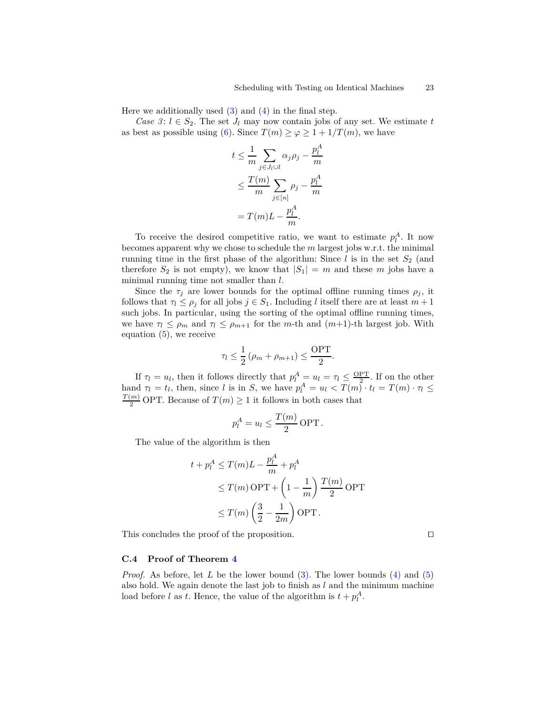Here we additionally used  $(3)$  and  $(4)$  in the final step.

*Case 3*:  $l \in S_2$ . The set  $J_l$  may now contain jobs of any set. We estimate t as best as possible using [\(6\)](#page-7-2). Since  $T(m) \ge \varphi \ge 1 + 1/T(m)$ , we have

$$
t \leq \frac{1}{m} \sum_{j \in J_l \cup l} \alpha_j \rho_j - \frac{p_l^A}{m}
$$
  

$$
\leq \frac{T(m)}{m} \sum_{j \in [n]} \rho_j - \frac{p_l^A}{m}
$$
  

$$
= T(m)L - \frac{p_l^A}{m}.
$$

To receive the desired competitive ratio, we want to estimate  $p_l^A$ . It now becomes apparent why we chose to schedule the *m* largest jobs w.r.t. the minimal running time in the first phase of the algorithm: Since  $l$  is in the set  $S_2$  (and therefore  $S_2$  is not empty), we know that  $|S_1| = m$  and these m jobs have a minimal running time not smaller than *l*.

Since the  $\tau_j$  are lower bounds for the optimal offline running times  $\rho_j$ , it follows that  $\tau_l \leq \rho_j$  for all jobs  $j \in S_1$ . Including *l* itself there are at least  $m+1$ such jobs. In particular, using the sorting of the optimal offline running times, we have  $\tau_l \leq \rho_m$  and  $\tau_l \leq \rho_{m+1}$  for the *m*-th and  $(m+1)$ -th largest job. With equation  $(5)$ , we receive

$$
\tau_l \le \frac{1}{2} \left( \rho_m + \rho_{m+1} \right) \le \frac{\text{OPT}}{2}.
$$

If  $\tau_l = u_l$ , then it follows directly that  $p_l^A = u_l = \tau_l \leq \frac{QPT}{l}$ . If on the other hand  $\tau_l = t_l$ , then, since *l* is in *S*, we have  $p_l^A = u_l < T(m) \cdot t_l = T(m) \cdot \tau_l \leq$  $\frac{T(m)}{2}$  OPT. Because of  $T(m) \geq 1$  it follows in both cases that

$$
p_l^A = u_l \le \frac{T(m)}{2} \text{ OPT}.
$$

The value of the algorithm is then

$$
t + p_l^A \le T(m)L - \frac{p_l^A}{m} + p_l^A
$$
  
\n
$$
\le T(m) \text{ OPT} + \left(1 - \frac{1}{m}\right) \frac{T(m)}{2} \text{ OPT}
$$
  
\n
$$
\le T(m) \left(\frac{3}{2} - \frac{1}{2m}\right) \text{ OPT}.
$$

This concludes the proof of the proposition. □

#### **C.4 Proof of Theorem [4](#page-8-0)**

*Proof.* As before, let *L* be the lower bound [\(3\)](#page-7-0). The lower bounds [\(4\)](#page-7-3) and [\(5\)](#page-7-1) also hold. We again denote the last job to finish as *l* and the minimum machine load before *l* as *t*. Hence, the value of the algorithm is  $t + p_l^A$ .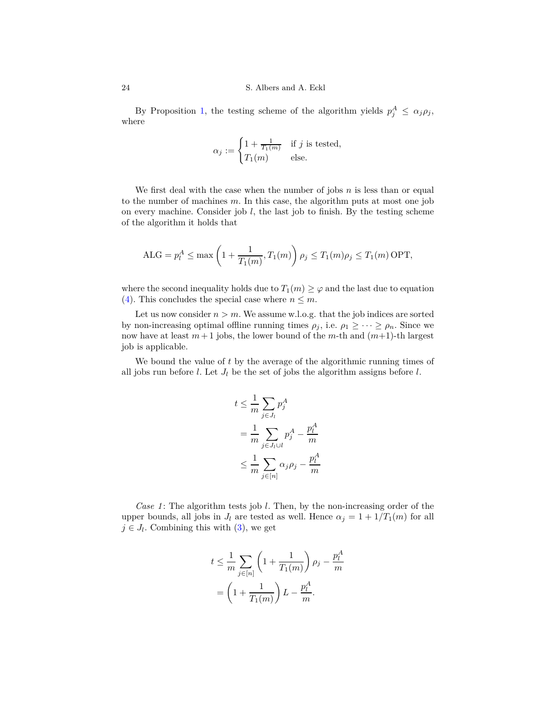#### 24 S. Albers and A. Eckl

By Proposition [1,](#page-4-0) the testing scheme of the algorithm yields  $p_j^A \leq \alpha_j \rho_j$ , where

$$
\alpha_j := \begin{cases} 1 + \frac{1}{T_1(m)} & \text{if } j \text{ is tested,} \\ T_1(m) & \text{else.} \end{cases}
$$

We first deal with the case when the number of jobs *n* is less than or equal to the number of machines *m*. In this case, the algorithm puts at most one job on every machine. Consider job *l*, the last job to finish. By the testing scheme of the algorithm it holds that

$$
ALG = p_l^A \le \max\left(1 + \frac{1}{T_1(m)}, T_1(m)\right) \rho_j \le T_1(m) \rho_j \le T_1(m)
$$
 OPT,

where the second inequality holds due to  $T_1(m) \geq \varphi$  and the last due to equation [\(4\)](#page-7-3). This concludes the special case where  $n \leq m$ .

Let us now consider  $n > m$ . We assume w.l.o.g. that the job indices are sorted by non-increasing optimal offline running times  $\rho_j$ , i.e.  $\rho_1 \geq \cdots \geq \rho_n$ . Since we now have at least  $m+1$  jobs, the lower bound of the  $m$ -th and  $(m+1)$ -th largest job is applicable.

We bound the value of *t* by the average of the algorithmic running times of all jobs run before  $l$ . Let  $J_l$  be the set of jobs the algorithm assigns before  $l$ .

$$
t \leq \frac{1}{m} \sum_{j \in J_l} p_j^A
$$
  
= 
$$
\frac{1}{m} \sum_{j \in J_l \cup l} p_j^A - \frac{p_l^A}{m}
$$
  

$$
\leq \frac{1}{m} \sum_{j \in [n]} \alpha_j \rho_j - \frac{p_l^A}{m}
$$

*Case 1*: The algorithm tests job *l*. Then, by the non-increasing order of the upper bounds, all jobs in  $J_l$  are tested as well. Hence  $\alpha_j = 1 + 1/T_1(m)$  for all  $j \in J_l$ . Combining this with  $(3)$ , we get

$$
t \leq \frac{1}{m} \sum_{j \in [n]} \left( 1 + \frac{1}{T_1(m)} \right) \rho_j - \frac{p_i^A}{m}
$$

$$
= \left( 1 + \frac{1}{T_1(m)} \right) L - \frac{p_i^A}{m}.
$$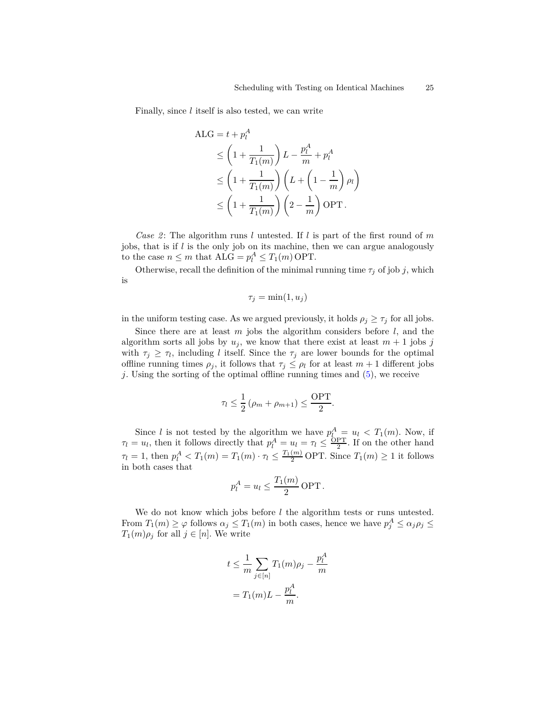Finally, since *l* itself is also tested, we can write

$$
\begin{aligned} \text{ALG} &= t + p_l^A\\ &\le \left(1 + \frac{1}{T_1(m)}\right) L - \frac{p_l^A}{m} + p_l^A\\ &\le \left(1 + \frac{1}{T_1(m)}\right) \left(L + \left(1 - \frac{1}{m}\right) \rho_l\right) \\ &\le \left(1 + \frac{1}{T_1(m)}\right) \left(2 - \frac{1}{m}\right) \text{OPT} \,. \end{aligned}
$$

*Case 2*: The algorithm runs *l* untested. If *l* is part of the first round of *m* jobs, that is if *l* is the only job on its machine, then we can argue analogously to the case  $n \leq m$  that  $ALG = p_l^A \leq T_1(m)$  OPT.

Otherwise, recall the definition of the minimal running time  $\tau_j$  of job *j*, which is

$$
\tau_j = \min(1, u_j)
$$

in the uniform testing case. As we argued previously, it holds  $\rho_j \geq \tau_j$  for all jobs.

Since there are at least *m* jobs the algorithm considers before *l*, and the algorithm sorts all jobs by  $u_j$ , we know that there exist at least  $m + 1$  jobs  $j$ with  $\tau_j \geq \tau_l$ , including *l* itself. Since the  $\tau_j$  are lower bounds for the optimal offline running times  $\rho_j$ , it follows that  $\tau_j \leq \rho_l$  for at least  $m+1$  different jobs *j*. Using the sorting of the optimal offline running times and [\(5\)](#page-7-1), we receive

$$
\tau_l \le \frac{1}{2} \left( \rho_m + \rho_{m+1} \right) \le \frac{\text{OPT}}{2}.
$$

Since *l* is not tested by the algorithm we have  $p_l^A = u_l < T_1(m)$ . Now, if  $\tau_l = u_l$ , then it follows directly that  $p_l^A = u_l = \tau_l \leq \frac{\text{OPT}}{2}$ . If on the other hand  $\tau_l = 1$ , then  $p_l^A < T_1(m) = T_1(m) \cdot \tau_l \leq \frac{T_1(m)}{2}$  OPT. Since  $T_1(m) \geq 1$  it follows in both cases that

$$
p_l^A = u_l \le \frac{T_1(m)}{2} \text{ OPT}.
$$

We do not know which jobs before *l* the algorithm tests or runs untested. From  $T_1(m) \geq \varphi$  follows  $\alpha_j \leq T_1(m)$  in both cases, hence we have  $p_j^A \leq \alpha_j \rho_j \leq$  $T_1(m)\rho_j$  for all  $j \in [n]$ . We write

$$
t \leq \frac{1}{m} \sum_{j \in [n]} T_1(m)\rho_j - \frac{p_l^A}{m}
$$

$$
= T_1(m)L - \frac{p_l^A}{m}.
$$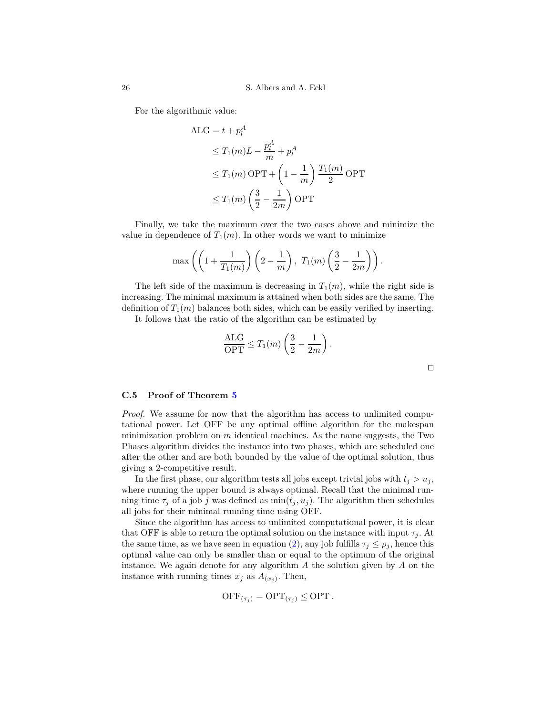For the algorithmic value:

$$
ALG = t + p_t^A
$$
  
\n
$$
\leq T_1(m)L - \frac{p_t^A}{m} + p_t^A
$$
  
\n
$$
\leq T_1(m) \text{ OPT} + \left(1 - \frac{1}{m}\right) \frac{T_1(m)}{2} \text{ OPT}
$$
  
\n
$$
\leq T_1(m) \left(\frac{3}{2} - \frac{1}{2m}\right) \text{ OPT}
$$

Finally, we take the maximum over the two cases above and minimize the value in dependence of  $T_1(m)$ . In other words we want to minimize

$$
\max\left(\left(1+\frac{1}{T_1(m)}\right)\left(2-\frac{1}{m}\right), T_1(m)\left(\frac{3}{2}-\frac{1}{2m}\right)\right).
$$

The left side of the maximum is decreasing in  $T_1(m)$ , while the right side is increasing. The minimal maximum is attained when both sides are the same. The definition of  $T_1(m)$  balances both sides, which can be easily verified by inserting.

It follows that the ratio of the algorithm can be estimated by

$$
\frac{\text{ALG}}{\text{OPT}} \leq T_1(m) \left( \frac{3}{2} - \frac{1}{2m} \right).
$$

#### **C.5 Proof of Theorem [5](#page-10-0)**

*Proof.* We assume for now that the algorithm has access to unlimited computational power. Let OFF be any optimal offline algorithm for the makespan minimization problem on *m* identical machines. As the name suggests, the Two Phases algorithm divides the instance into two phases, which are scheduled one after the other and are both bounded by the value of the optimal solution, thus giving a 2-competitive result.

In the first phase, our algorithm tests all jobs except trivial jobs with  $t_i > u_j$ , where running the upper bound is always optimal. Recall that the minimal running time  $\tau_i$  of a job *j* was defined as  $\min(t_i, u_i)$ . The algorithm then schedules all jobs for their minimal running time using OFF.

Since the algorithm has access to unlimited computational power, it is clear that OFF is able to return the optimal solution on the instance with input  $\tau_i$ . At the same time, as we have seen in equation [\(2\)](#page-4-1), any job fulfills  $\tau_i \leq \rho_i$ , hence this optimal value can only be smaller than or equal to the optimum of the original instance. We again denote for any algorithm *A* the solution given by *A* on the instance with running times  $x_j$  as  $A_{(x_j)}$ . Then,

$$
\text{OFF}_{(\tau_j)} = \text{OPT}_{(\tau_j)} \leq \text{OPT}.
$$